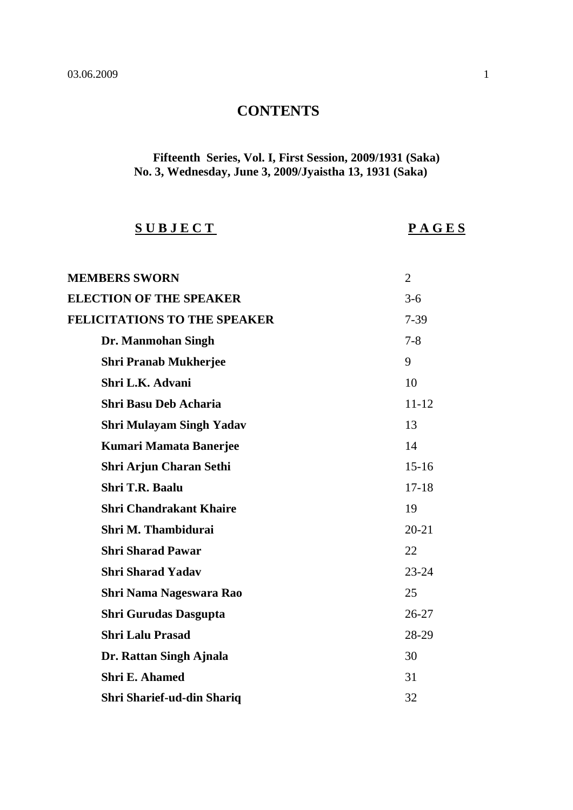## **CONTENTS**

## **Fifteenth Series, Vol. I, First Session, 2009/1931 (Saka) No. 3, Wednesday, June 3, 2009/Jyaistha 13, 1931 (Saka)**

## **S U B J E C T P A G E S**

| <b>MEMBERS SWORN</b>                | $\overline{2}$ |
|-------------------------------------|----------------|
| <b>ELECTION OF THE SPEAKER</b>      | $3-6$          |
| <b>FELICITATIONS TO THE SPEAKER</b> | $7 - 39$       |
| Dr. Manmohan Singh                  | $7 - 8$        |
| <b>Shri Pranab Mukherjee</b>        | 9              |
| Shri L.K. Advani                    | 10             |
| <b>Shri Basu Deb Acharia</b>        | $11 - 12$      |
| <b>Shri Mulayam Singh Yadav</b>     | 13             |
| <b>Kumari Mamata Banerjee</b>       | 14             |
| Shri Arjun Charan Sethi             | $15 - 16$      |
| Shri T.R. Baalu                     | $17 - 18$      |
| <b>Shri Chandrakant Khaire</b>      | 19             |
| Shri M. Thambidurai                 | $20 - 21$      |
| <b>Shri Sharad Pawar</b>            | 22             |
| <b>Shri Sharad Yadav</b>            | $23 - 24$      |
| Shri Nama Nageswara Rao             | 25             |
| <b>Shri Gurudas Dasgupta</b>        | $26 - 27$      |
| <b>Shri Lalu Prasad</b>             | 28-29          |
| Dr. Rattan Singh Ajnala             | 30             |
| <b>Shri E. Ahamed</b>               | 31             |
| Shri Sharief-ud-din Shariq          | 32             |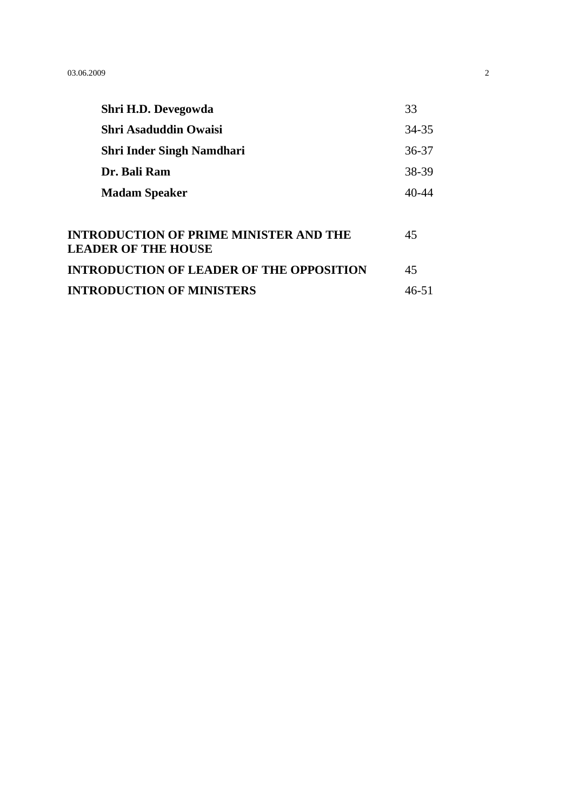| Shri H.D. Devegowda                                                         | 33        |
|-----------------------------------------------------------------------------|-----------|
| <b>Shri Asaduddin Owaisi</b>                                                | 34-35     |
| <b>Shri Inder Singh Namdhari</b>                                            | 36-37     |
| Dr. Bali Ram                                                                | 38-39     |
| <b>Madam Speaker</b>                                                        | $40 - 44$ |
|                                                                             |           |
| <b>INTRODUCTION OF PRIME MINISTER AND THE</b><br><b>LEADER OF THE HOUSE</b> | 45        |
| <b>INTRODUCTION OF LEADER OF THE OPPOSITION</b>                             | 45        |
| <b>INTRODUCTION OF MINISTERS</b>                                            | 46-51     |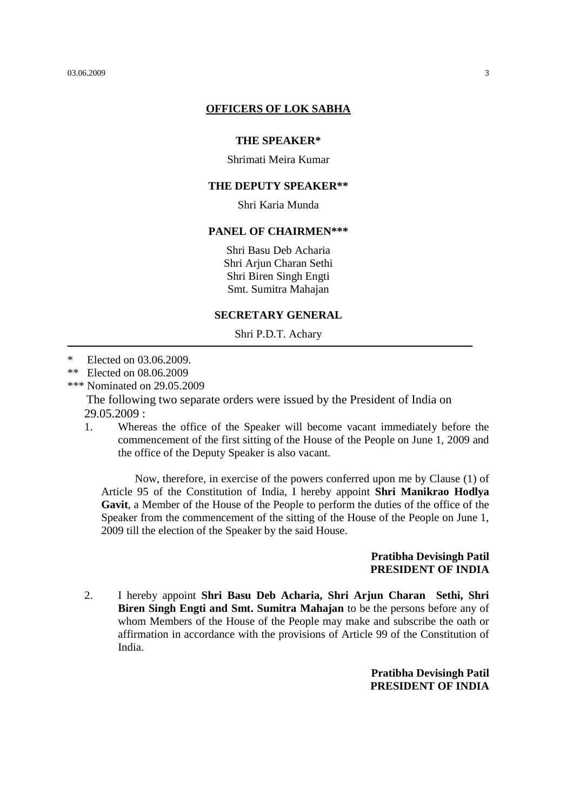#### **OFFICERS OF LOK SABHA**

#### **THE SPEAKER\***

Shrimati Meira Kumar

#### **THE DEPUTY SPEAKER\*\***

Shri Karia Munda

#### **PANEL OF CHAIRMEN\*\*\***

Shri Basu Deb Acharia Shri Arjun Charan Sethi Shri Biren Singh Engti Smt. Sumitra Mahajan

#### **SECRETARY GENERAL**

Shri P.D.T. Achary

- \* Elected on 03.06.2009.
- \*\* Elected on 08.06.2009
- \*\*\* Nominated on 29.05.2009

The following two separate orders were issued by the President of India on 29.05.2009 :

1. Whereas the office of the Speaker will become vacant immediately before the commencement of the first sitting of the House of the People on June 1, 2009 and the office of the Deputy Speaker is also vacant.

Now, therefore, in exercise of the powers conferred upon me by Clause (1) of Article 95 of the Constitution of India, I hereby appoint **Shri Manikrao Hodlya Gavit**, a Member of the House of the People to perform the duties of the office of the Speaker from the commencement of the sitting of the House of the People on June 1, 2009 till the election of the Speaker by the said House.

#### **Pratibha Devisingh Patil PRESIDENT OF INDIA**

2. I hereby appoint **Shri Basu Deb Acharia, Shri Arjun Charan Sethi, Shri Biren Singh Engti and Smt. Sumitra Mahajan** to be the persons before any of whom Members of the House of the People may make and subscribe the oath or affirmation in accordance with the provisions of Article 99 of the Constitution of India.

> **Pratibha Devisingh Patil PRESIDENT OF INDIA**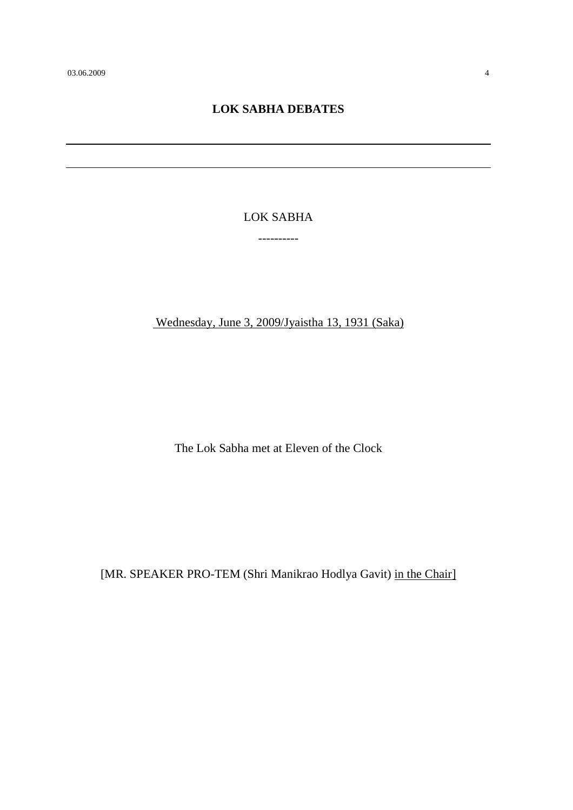## **LOK SABHA DEBATES**

LOK SABHA

----------

Wednesday, June 3, 2009/Jyaistha 13, 1931 (Saka)

The Lok Sabha met at Eleven of the Clock

[MR. SPEAKER PRO-TEM (Shri Manikrao Hodlya Gavit) in the Chair]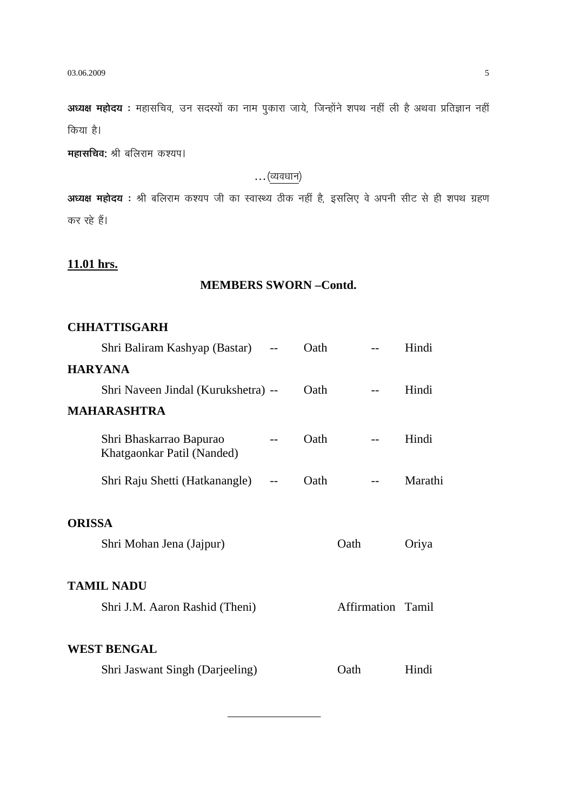**अध्यक्ष महोदय** : महासचिव, उन सदस्यों का नाम पुकारा जाये, जिन्होंने शपथ नहीं ली है अथवा प्रतिज्ञान नहीं किया है।

**महासचिव:** श्री बलिराम कश्यप।

### $\ldots$ (व्यवधान)

**अध्यक्ष महोदय**: श्री बलिराम कश्यप जी का स्वास्थ्य ठीक नहीं है, इसलिए वे अपनी सीट से ही शपथ ग्रहण कर रहे हैं।

## **11.01 hrs.**

## **MEMBERS SWORN –Contd.**

## **CHHATTISGARH**

|                | Shri Baliram Kashyap (Bastar)                         | Oath |                   | Hindi   |
|----------------|-------------------------------------------------------|------|-------------------|---------|
| <b>HARYANA</b> |                                                       |      |                   |         |
|                | Shri Naveen Jindal (Kurukshetra) --                   | Oath |                   | Hindi   |
|                | <b>MAHARASHTRA</b>                                    |      |                   |         |
|                | Shri Bhaskarrao Bapurao<br>Khatgaonkar Patil (Nanded) | Oath |                   | Hindi   |
|                | Shri Raju Shetti (Hatkanangle)                        | Oath |                   | Marathi |
| <b>ORISSA</b>  |                                                       |      |                   |         |
|                | Shri Mohan Jena (Jajpur)                              |      | Oath              | Oriya   |
|                | <b>TAMIL NADU</b>                                     |      |                   |         |
|                | Shri J.M. Aaron Rashid (Theni)                        |      | Affirmation Tamil |         |
|                | <b>WEST BENGAL</b>                                    |      |                   |         |
|                | Shri Jaswant Singh (Darjeeling)                       |      | Oath              | Hindi   |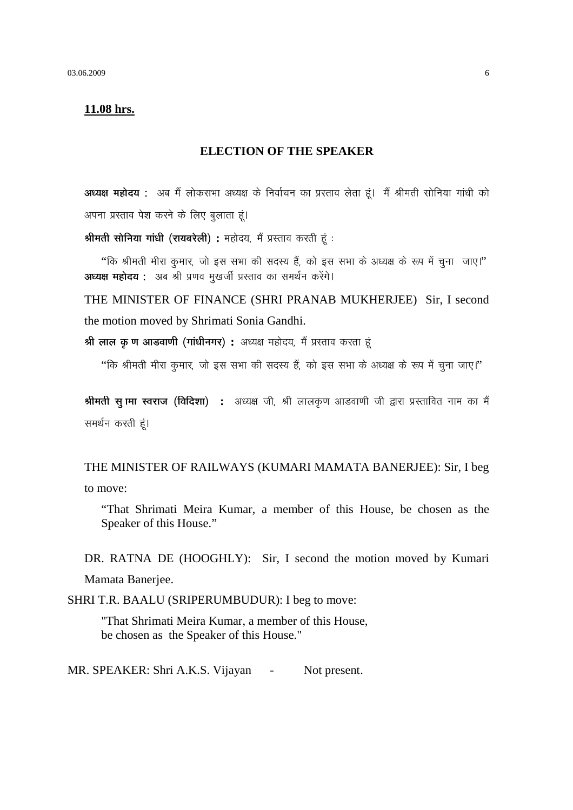#### 11.08 hrs.

#### **ELECTION OF THE SPEAKER**

अध्यक्ष महोदय : अब मैं लोकसभा अध्यक्ष के निर्वाचन का प्रस्ताव लेता हूं। मैं श्रीमती सोनिया गांधी को अपना प्रस्ताव पेश करने के लिए बुलाता हूं।

श्रीमती सोनिया गांधी (रायबरेली) : महोदय, मैं प्रस्ताव करती हूं :

"कि श्रीमती मीरा कुमार, जो इस सभा की सदस्य हैं, को इस सभा के अध्यक्ष के रूप में चूना जाए।" अध्यक्ष महोदय : अब श्री प्रणव मुखर्जी प्रस्ताव का समर्थन करेंगे।

THE MINISTER OF FINANCE (SHRI PRANAB MUKHERJEE) Sir, I second the motion moved by Shrimati Sonia Gandhi.

श्री लाल कु ण आडवाणी (गांधीनगर) : अध्यक्ष महोदय, मैं प्रस्ताव करता हूं

"कि श्रीमती मीरा कुमार, जो इस सभा की सदस्य हैं, को इस सभा के अध्यक्ष के रूप में चुना जाए।"

श्रीमती सू गमा स्वराज (विदिशा) : अध्यक्ष जी, श्री लालकृण आडवाणी जी द्वारा प्रस्तावित नाम का मैं समर्थन करती हूं।

THE MINISTER OF RAILWAYS (KUMARI MAMATA BANERJEE): Sir, I beg to move:

"That Shrimati Meira Kumar, a member of this House, be chosen as the Speaker of this House."

DR. RATNA DE (HOOGHLY): Sir, I second the motion moved by Kumari Mamata Banerjee.

SHRI T.R. BAALU (SRIPERUMBUDUR): I beg to move:

"That Shrimati Meira Kumar, a member of this House, be chosen as the Speaker of this House."

MR. SPEAKER: Shri A.K.S. Vijayan -Not present.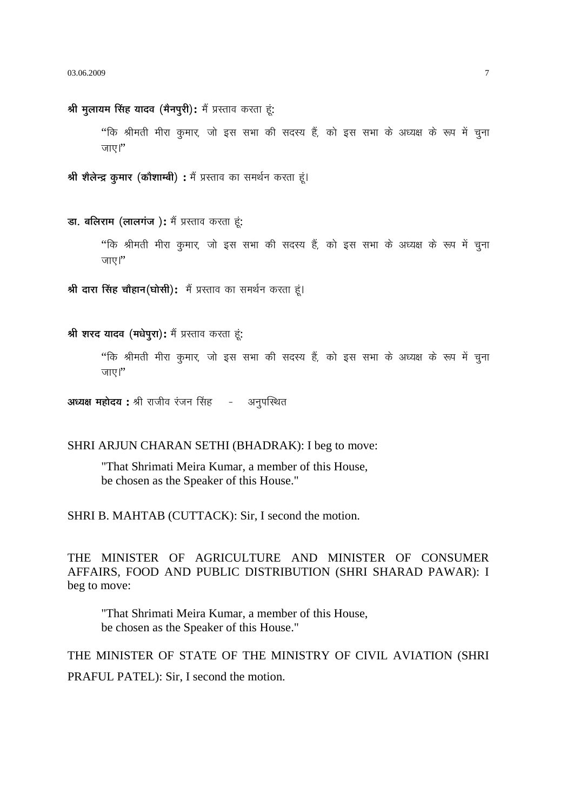श्री मुलायम सिंह यादव (मैनपूरी): मैं प्रस्ताव करता हूं: ''कि श्रीमती मीरा कुमार, जो इस सभा की सदस्य हैं, को इस सभा के अध्यक्ष के रूप में चुना जाए।" श्री शैलेन्द्र कमार (कौशाम्बी) : मैं प्रस्ताव का समर्थन करता हूं। डा. बलिराम (लालगंज): मैं प्रस्ताव करता हूं: ''कि श्रीमती मीरा कुमार, जो इस सभा की सदस्य हैं, को इस सभा के अध्यक्ष के रूप में चूना जाए।" श्री दारा सिंह चौहान(घोसी): मैं प्रस्ताव का समर्थन करता हूं। श्री शरद यादव (मधेपुरा): मैं प्रस्ताव करता हं: ''कि श्रीमती मीरा कुमार, जो इस सभा की सदस्य हैं, को इस सभा के अध्यक्ष के रूप में चुना

अध्यक्ष महोदय : श्री राजीव रंजन सिंह - अनुपस्थित

जाए।''

#### SHRI ARJUN CHARAN SETHI (BHADRAK): I beg to move:

"That Shrimati Meira Kumar, a member of this House, be chosen as the Speaker of this House."

SHRI B. MAHTAB (CUTTACK): Sir, I second the motion.

THE MINISTER OF AGRICULTURE AND MINISTER OF CONSUMER AFFAIRS, FOOD AND PUBLIC DISTRIBUTION (SHRI SHARAD PAWAR): I beg to move:

"That Shrimati Meira Kumar, a member of this House, be chosen as the Speaker of this House."

THE MINISTER OF STATE OF THE MINISTRY OF CIVIL AVIATION (SHRI PRAFUL PATEL): Sir, I second the motion.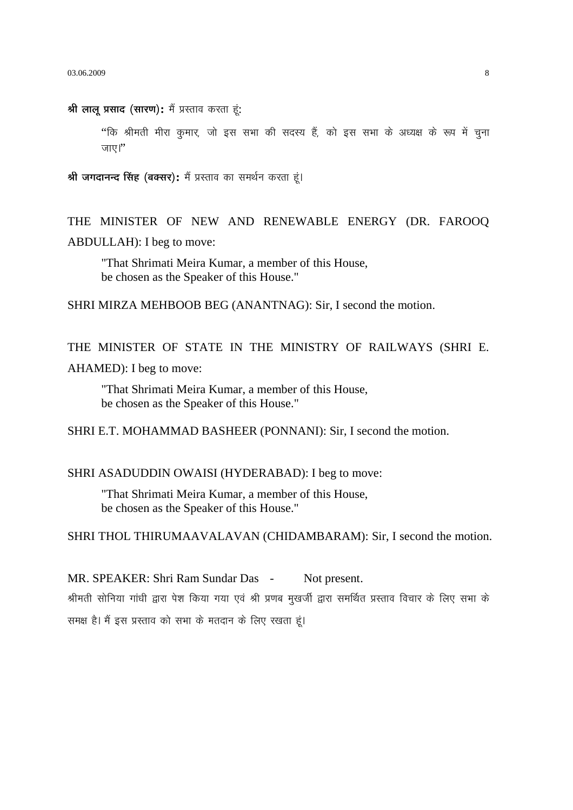03.06.2009

श्री लालू प्रसाद (सारण): मैं प्रस्ताव करता हूं:

''कि श्रीमती मीरा कुमार, जो इस सभा की सदस्य हैं, को इस सभा के अध्यक्ष के रूप में चुना जाए।"

श्री जगदानन्द सिंह (बक्सर): मैं प्रस्ताव का समर्थन करता हूं।

THE MINISTER OF NEW AND RENEWABLE ENERGY (DR. FAROOQ ABDULLAH): I beg to move:

"That Shrimati Meira Kumar, a member of this House, be chosen as the Speaker of this House."

SHRI MIRZA MEHBOOB BEG (ANANTNAG): Sir, I second the motion.

THE MINISTER OF STATE IN THE MINISTRY OF RAILWAYS (SHRI E. AHAMED): I beg to move:

"That Shrimati Meira Kumar, a member of this House, be chosen as the Speaker of this House."

SHRI E.T. MOHAMMAD BASHEER (PONNANI): Sir, I second the motion.

#### SHRI ASADUDDIN OWAISI (HYDERABAD): I beg to move:

"That Shrimati Meira Kumar, a member of this House, be chosen as the Speaker of this House."

SHRI THOL THIRUMAAVALAVAN (CHIDAMBARAM): Sir, I second the motion.

MR. SPEAKER: Shri Ram Sundar Das -Not present. श्रीमती सोनिया गांधी द्वारा पेश किया गया एवं श्री प्रणब मखर्जी द्वारा समर्थित प्रस्ताव विचार के लिए सभा के समक्ष है। मैं इस प्रस्ताव को सभा के मतदान के लिए रखता हूं।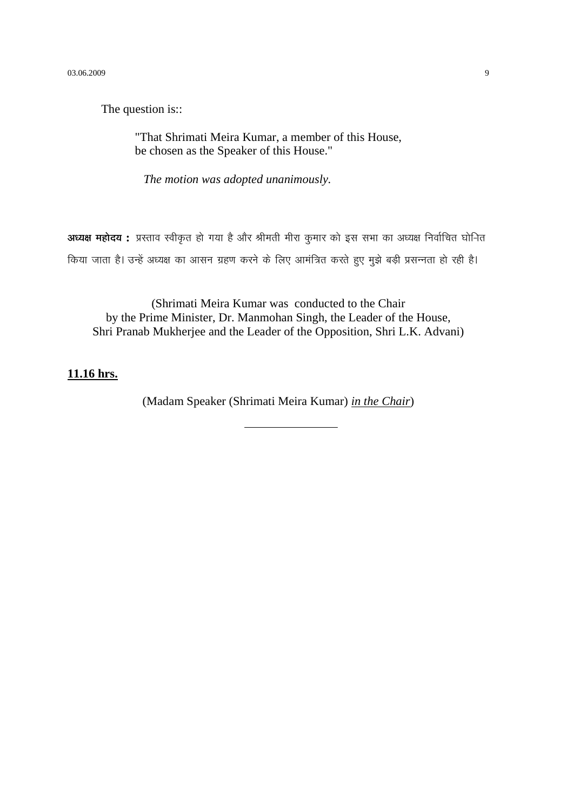The question is::

"That Shrimati Meira Kumar, a member of this House, be chosen as the Speaker of this House."

*The motion was adopted unanimously.*

**अध्यक्ष महोदय :** प्रस्ताव स्वीकृत हो गया है और श्रीमती मीरा कुमार को इस सभा का अध्यक्ष निर्वाचित घोनित किया जाता है। उन्हें अध्यक्ष का आसन ग्रहण करने के लिए आमंत्रित करते हुए मुझे बड़ी प्रसन्नता हो रही है।

(Shrimati Meira Kumar was conducted to the Chair by the Prime Minister, Dr. Manmohan Singh, the Leader of the House, Shri Pranab Mukherjee and the Leader of the Opposition, Shri L.K. Advani)

### **11.16 hrs.**

(Madam Speaker (Shrimati Meira Kumar) *in the Chair*)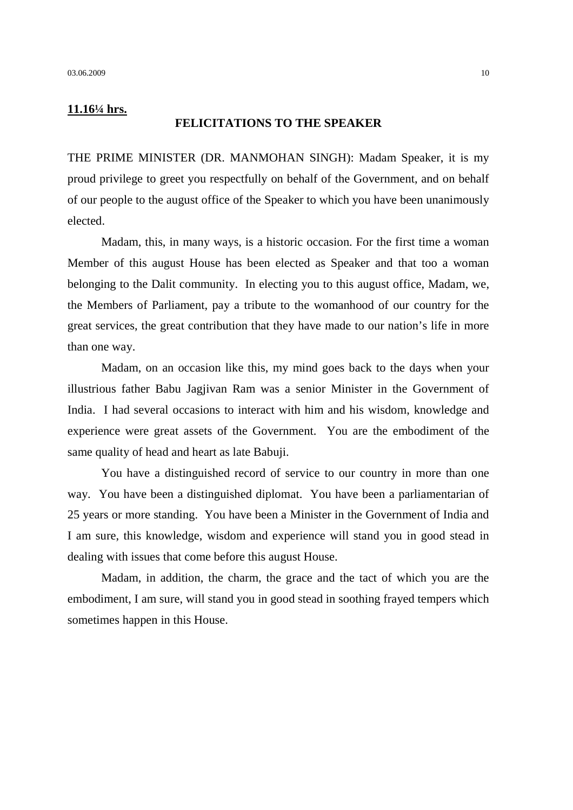#### **11.16¼ hrs.**

#### **FELICITATIONS TO THE SPEAKER**

THE PRIME MINISTER (DR. MANMOHAN SINGH): Madam Speaker, it is my proud privilege to greet you respectfully on behalf of the Government, and on behalf of our people to the august office of the Speaker to which you have been unanimously elected.

Madam, this, in many ways, is a historic occasion. For the first time a woman Member of this august House has been elected as Speaker and that too a woman belonging to the Dalit community. In electing you to this august office, Madam, we, the Members of Parliament, pay a tribute to the womanhood of our country for the great services, the great contribution that they have made to our nation's life in more than one way.

Madam, on an occasion like this, my mind goes back to the days when your illustrious father Babu Jagjivan Ram was a senior Minister in the Government of India. I had several occasions to interact with him and his wisdom, knowledge and experience were great assets of the Government. You are the embodiment of the same quality of head and heart as late Babuji.

You have a distinguished record of service to our country in more than one way. You have been a distinguished diplomat. You have been a parliamentarian of 25 years or more standing. You have been a Minister in the Government of India and I am sure, this knowledge, wisdom and experience will stand you in good stead in dealing with issues that come before this august House.

Madam, in addition, the charm, the grace and the tact of which you are the embodiment, I am sure, will stand you in good stead in soothing frayed tempers which sometimes happen in this House.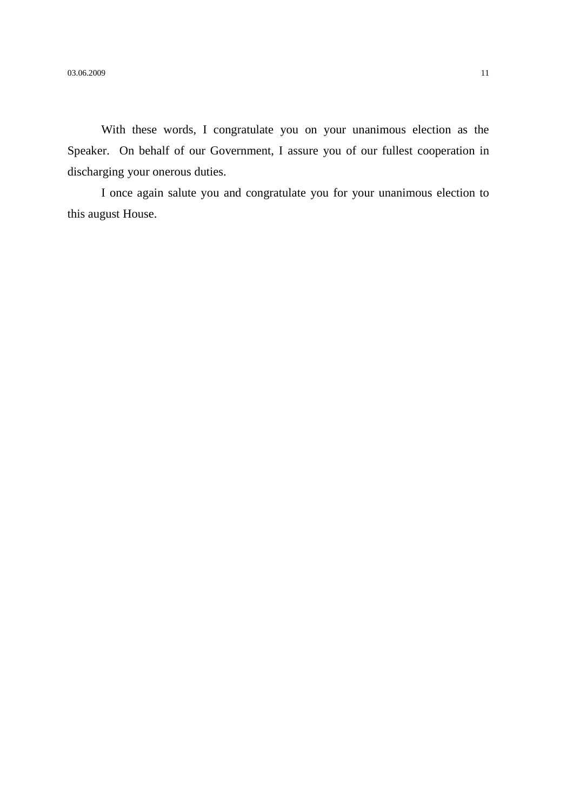With these words, I congratulate you on your unanimous election as the Speaker. On behalf of our Government, I assure you of our fullest cooperation in discharging your onerous duties.

I once again salute you and congratulate you for your unanimous election to this august House.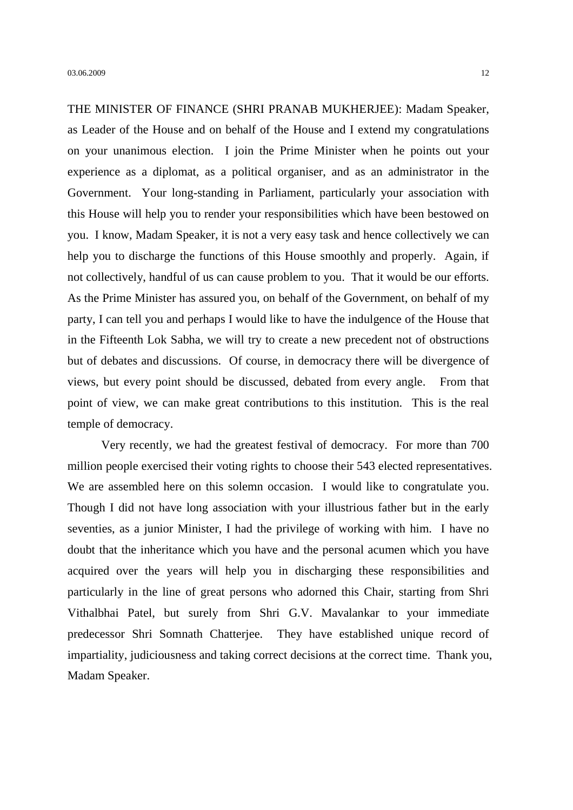THE MINISTER OF FINANCE (SHRI PRANAB MUKHERJEE): Madam Speaker, as Leader of the House and on behalf of the House and I extend my congratulations on your unanimous election. I join the Prime Minister when he points out your experience as a diplomat, as a political organiser, and as an administrator in the Government. Your long-standing in Parliament, particularly your association with this House will help you to render your responsibilities which have been bestowed on you. I know, Madam Speaker, it is not a very easy task and hence collectively we can help you to discharge the functions of this House smoothly and properly. Again, if not collectively, handful of us can cause problem to you. That it would be our efforts. As the Prime Minister has assured you, on behalf of the Government, on behalf of my party, I can tell you and perhaps I would like to have the indulgence of the House that in the Fifteenth Lok Sabha, we will try to create a new precedent not of obstructions but of debates and discussions. Of course, in democracy there will be divergence of views, but every point should be discussed, debated from every angle. From that point of view, we can make great contributions to this institution. This is the real temple of democracy.

Very recently, we had the greatest festival of democracy. For more than 700 million people exercised their voting rights to choose their 543 elected representatives. We are assembled here on this solemn occasion. I would like to congratulate you. Though I did not have long association with your illustrious father but in the early seventies, as a junior Minister, I had the privilege of working with him. I have no doubt that the inheritance which you have and the personal acumen which you have acquired over the years will help you in discharging these responsibilities and particularly in the line of great persons who adorned this Chair, starting from Shri Vithalbhai Patel, but surely from Shri G.V. Mavalankar to your immediate predecessor Shri Somnath Chatterjee. They have established unique record of impartiality, judiciousness and taking correct decisions at the correct time. Thank you, Madam Speaker.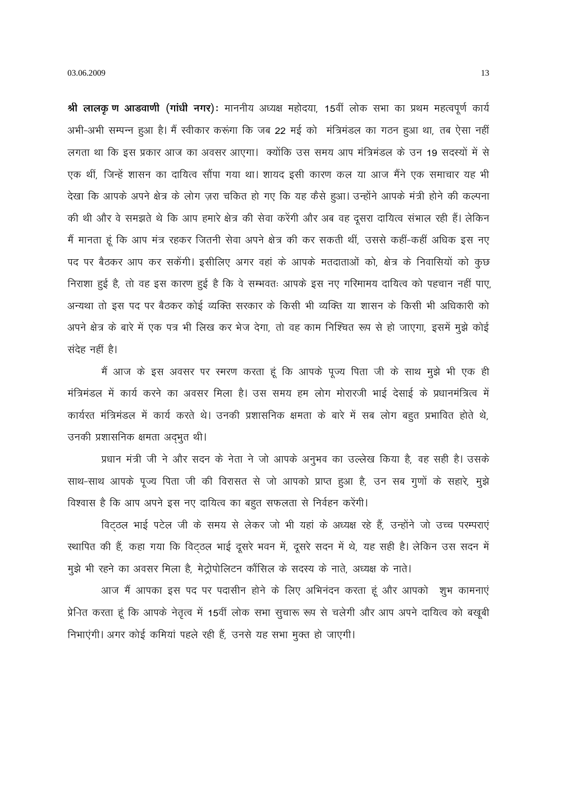श्री लालकृ ण आडवाणी (गांधी नगर): माननीय अध्यक्ष महोदया, 15वीं लोक सभा का प्रथम महत्वपूर्ण कार्य अभी-अभी सम्पन्न हुआ है। मैं स्वीकार करूंगा कि जब 22 मई को मंत्रिमंडल का गठन हुआ था, तब ऐसा नहीं लगता था कि इस प्रकार आज का अवसर आएगा। क्योंकि उस समय आप मंत्रिमंडल के उन 19 सदस्यों में से एक थीं, जिन्हें शासन का दायित्व सौंपा गया था। शायद इसी कारण कल या आज मैंने एक समाचार यह भी देखा कि आपके अपने क्षेत्र के लोग ज़रा चकित हो गए कि यह कैसे हुआ। उन्होंने आपके मंत्री होने की कल्पना की थी और वे समझते थे कि आप हमारे क्षेत्र की सेवा करेंगी और अब वह दूसरा दायित्व संभाल रही हैं। लेकिन मैं मानता हूं कि आप मंत्र रहकर जितनी सेवा अपने क्षेत्र की कर सकती थीं, उससे कहीं-कहीं अधिक इस नए पद पर बैठकर आप कर सकेंगी। इसीलिए अगर वहां के आपके मतदाताओं को, क्षेत्र के निवासियों को कुछ निराशा हुई है, तो वह इस कारण हुई है कि वे सम्भवतः आपके इस नए गरिमामय दायित्व को पहचान नहीं पाए, अन्यथा तो इस पद पर बैठकर कोई व्यक्ति सरकार के किसी भी व्यक्ति या शासन के किसी भी अधिकारी को अपने क्षेत्र के बारे में एक पत्र भी लिख कर भेज देगा, तो वह काम निश्चित रूप से हो जाएगा, इसमें मुझे कोई संदेह नहीं है।

मैं आज के इस अवसर पर स्मरण करता हूं कि आपके पूज्य पिता जी के साथ मुझे भी एक ही मंत्रिमंडल में कार्य करने का अवसर मिला है। उस समय हम लोग मोरारजी भाई देसाई के प्रधानमंत्रित्व में कार्यरत मंत्रिमंडल में कार्य करते थे। उनकी प्रशासनिक क्षमता के बारे में सब लोग बहुत प्रभावित होते थे, उनकी प्रशासनिक क्षमता अदभुत थी।

प्रधान मंत्री जी ने और सदन के नेता ने जो आपके अनुभव का उल्लेख किया है, वह सही है। उसके साथ-साथ आपके पूज्य पिता जी की विरासत से जो आपको प्राप्त हुआ है, उन सब गुणों के सहारे, मुझे विश्वास है कि आप अपने इस नए दायित्व का बहुत सफलता से निर्वहन करेंगी।

विट्ठल भाई पटेल जी के समय से लेकर जो भी यहां के अध्यक्ष रहे हैं, उन्होंने जो उच्च परम्पराएं स्थापित की हैं, कहा गया कि विट़ठल भाई दूसरे भवन में, दूसरे सदन में थे, यह सही है। लेकिन उस सदन में मूझे भी रहने का अवसर मिला है, मेट्रोपोलिटन कौंसिल के सदस्य के नाते, अध्यक्ष के नाते।

आज मैं आपका इस पद पर पदासीन होने के लिए अभिनंदन करता हूं और आपको शुभ कामनाएं प्रेनित करता हूं कि आपके नेतृत्व में 15वीं लोक सभा सुचारू रूप से चलेगी और आप अपने दायित्व को बखूबी निभाएंगी। अगर कोई कमियां पहले रही हैं, उनसे यह सभा मुक्त हो जाएगी।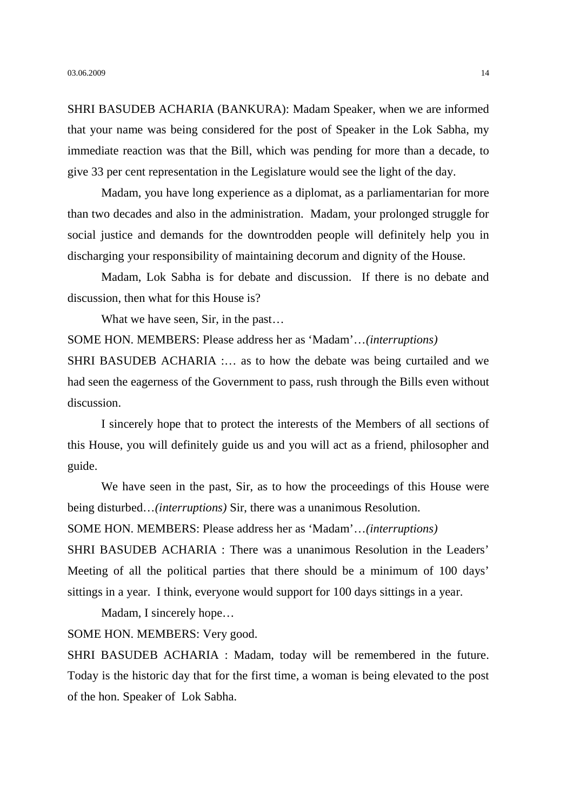SHRI BASUDEB ACHARIA (BANKURA): Madam Speaker, when we are informed that your name was being considered for the post of Speaker in the Lok Sabha, my immediate reaction was that the Bill, which was pending for more than a decade, to give 33 per cent representation in the Legislature would see the light of the day.

Madam, you have long experience as a diplomat, as a parliamentarian for more than two decades and also in the administration. Madam, your prolonged struggle for social justice and demands for the downtrodden people will definitely help you in discharging your responsibility of maintaining decorum and dignity of the House.

Madam, Lok Sabha is for debate and discussion. If there is no debate and discussion, then what for this House is?

What we have seen, Sir, in the past...

SOME HON. MEMBERS: Please address her as 'Madam'…*(interruptions)*

SHRI BASUDEB ACHARIA :… as to how the debate was being curtailed and we had seen the eagerness of the Government to pass, rush through the Bills even without discussion.

I sincerely hope that to protect the interests of the Members of all sections of this House, you will definitely guide us and you will act as a friend, philosopher and guide.

We have seen in the past, Sir, as to how the proceedings of this House were being disturbed…*(interruptions)* Sir, there was a unanimous Resolution.

SOME HON. MEMBERS: Please address her as 'Madam'…*(interruptions)*

SHRI BASUDEB ACHARIA : There was a unanimous Resolution in the Leaders' Meeting of all the political parties that there should be a minimum of 100 days' sittings in a year. I think, everyone would support for 100 days sittings in a year.

Madam, I sincerely hope…

SOME HON. MEMBERS: Very good.

SHRI BASUDEB ACHARIA : Madam, today will be remembered in the future. Today is the historic day that for the first time, a woman is being elevated to the post of the hon. Speaker of Lok Sabha.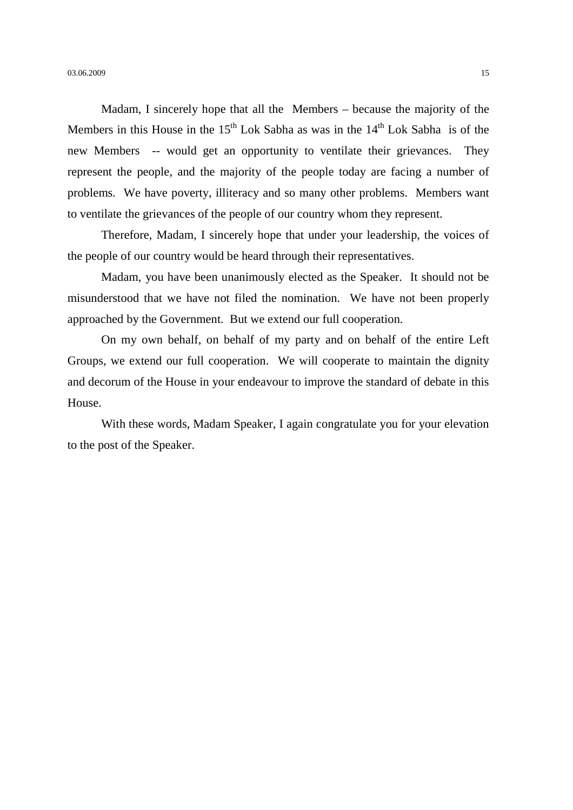Madam, I sincerely hope that all the Members – because the majority of the Members in this House in the  $15<sup>th</sup>$  Lok Sabha as was in the  $14<sup>th</sup>$  Lok Sabha is of the new Members -- would get an opportunity to ventilate their grievances. They represent the people, and the majority of the people today are facing a number of problems. We have poverty, illiteracy and so many other problems. Members want to ventilate the grievances of the people of our country whom they represent.

Therefore, Madam, I sincerely hope that under your leadership, the voices of the people of our country would be heard through their representatives.

Madam, you have been unanimously elected as the Speaker. It should not be misunderstood that we have not filed the nomination. We have not been properly approached by the Government. But we extend our full cooperation.

On my own behalf, on behalf of my party and on behalf of the entire Left Groups, we extend our full cooperation. We will cooperate to maintain the dignity and decorum of the House in your endeavour to improve the standard of debate in this House.

With these words, Madam Speaker, I again congratulate you for your elevation to the post of the Speaker.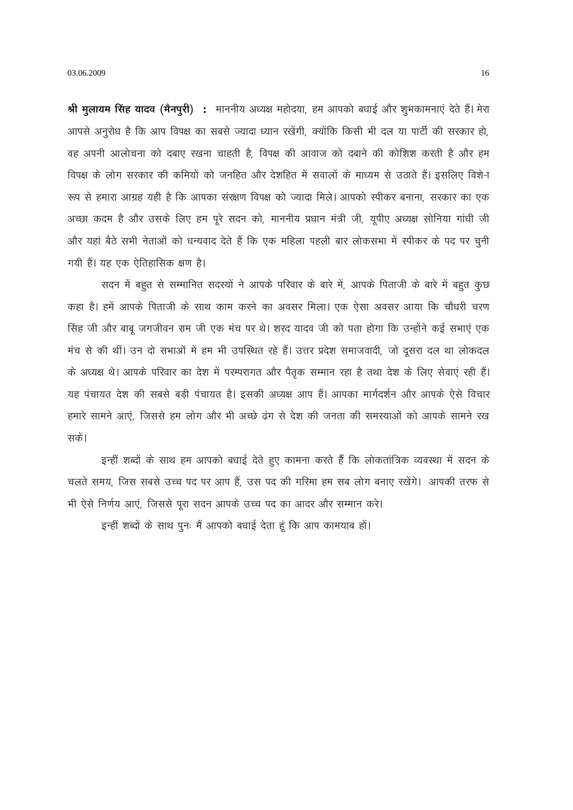03.06.2009

श्री मुलायम सिंह यादव (मैनपुरी) : माननीय अध्यक्ष महोदया, हम आपको बधाई और शुभकामनाएं देते हैं। मेरा आपसे अनुरोध है कि आप विपक्ष का सबसे ज्यादा ध्यान रखेंगी, क्योंकि किसी भी दल या पार्टी की सरकार हो, वह अपनी आलोचना को दबाए रखना चाहती है, विपक्ष की आवाज को दबाने की कोशिश करती है और हम विपक्ष के लोग सरकार की कमियों को जनहित और देशहित में सवालों के माध्यम से उठाते हैं। इसलिए विशे-ा रूप से हमारा आग्रह यही है कि आपका संरक्षण विपक्ष को ज्यादा मिले। आपको स्पीकर बनाना, सरकार का एक अच्छा कदम है और उसके लिए हम पूरे सदन को, माननीय प्रधान मंत्री जी, यूपीए अध्यक्ष सोनिया गांधी जी और यहां बैठे सभी नेताओं को धन्यवाद देते हैं कि एक महिला पहली बार लोकसभा में स्पीकर के पद पर चुनी गयी हैं। यह एक ऐतिहासिक क्षण है।

सदन में बहुत से सम्मानित सदस्यों ने आपके परिवार के बारे में, आपके पिताजी के बारे में बहुत कुछ कहा है। हमें आपके पिताजी के साथ काम करने का अवसर मिला। एक ऐसा अवसर आया कि चौधरी चरण सिंह जी और बाबू जगजीवन राम जी एक मंच पर थे। शरद यादव जी को पता होगा कि उन्होंने कई सभाएं एक मंच से की थीं। उन दो सभाओं में हम भी उपस्थित रहे हैं। उत्तर प्रदेश समाजवादी, जो दूसरा दल था लोकदल के अध्यक्ष थे। आपके परिवार का देश में परम्परागत और पैतृक सम्मान रहा है तथा देश के लिए सेवाएं रही हैं। यह पंचायत देश की सबसे बड़ी पंचायत है। इसकी अध्यक्ष आप हैं। आपका मार्गदर्शन और आपके ऐसे विचार हमारे सामने आएं. जिससे हम लोग और भी अच्छे ढंग से देश की जनता की समस्याओं को आपके सामने रख सकें।

इन्हीं शब्दों के साथ हम आपको बधाई देते हुए कामना करते हैं कि लोकतांत्रिक व्यवस्था में सदन के चलते समय, जिस सबसे उच्च पद पर आप हैं, उस पद की गरिमा हम सब लोग बनाए रखेंगे। आपकी तरफ से भी ऐसे निर्णय आएं, जिससे पूरा सदन आपके उच्च पद का आदर और सम्मान करे।

इन्हीं शब्दों के साथ पुनः मैं आपको बधाई देता हूं कि आप कामयाब हों।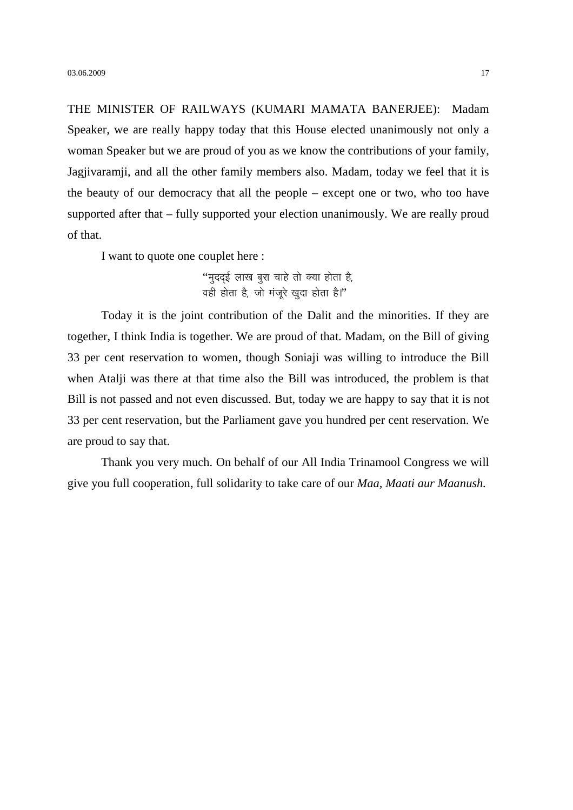THE MINISTER OF RAILWAYS (KUMARI MAMATA BANERJEE): Madam Speaker, we are really happy today that this House elected unanimously not only a woman Speaker but we are proud of you as we know the contributions of your family, Jagjivaramji, and all the other family members also. Madam, today we feel that it is the beauty of our democracy that all the people – except one or two, who too have supported after that – fully supported your election unanimously. We are really proud of that.

I want to quote one couplet here :

"मुदद्ई लाख बुरा चाहे तो क्या होता है,  $\vec{E}$  वही होता है, जो मंजरे खदा होता है।"

Today it is the joint contribution of the Dalit and the minorities. If they are together, I think India is together. We are proud of that. Madam, on the Bill of giving 33 per cent reservation to women, though Soniaji was willing to introduce the Bill when Atalji was there at that time also the Bill was introduced, the problem is that Bill is not passed and not even discussed. But, today we are happy to say that it is not 33 per cent reservation, but the Parliament gave you hundred per cent reservation. We are proud to say that.

Thank you very much. On behalf of our All India Trinamool Congress we will give you full cooperation, full solidarity to take care of our *Maa, Maati aur Maanush.*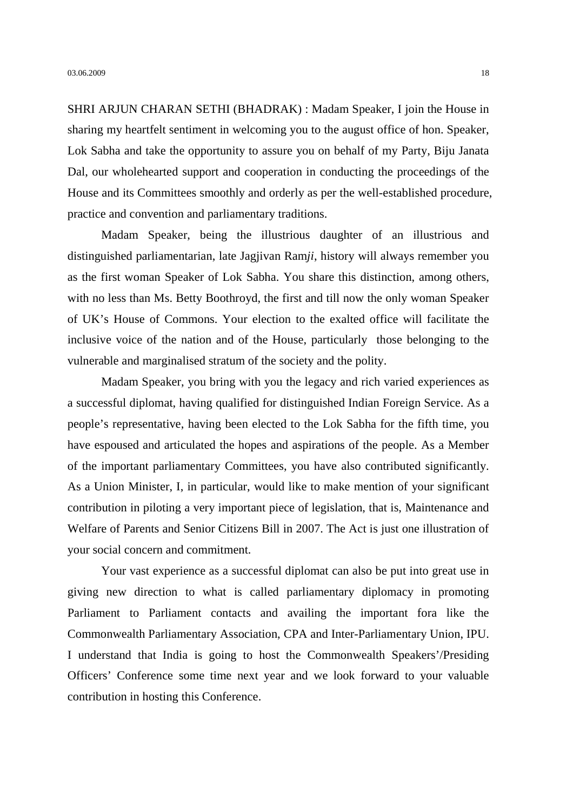SHRI ARJUN CHARAN SETHI (BHADRAK) : Madam Speaker, I join the House in sharing my heartfelt sentiment in welcoming you to the august office of hon. Speaker, Lok Sabha and take the opportunity to assure you on behalf of my Party, Biju Janata Dal, our wholehearted support and cooperation in conducting the proceedings of the House and its Committees smoothly and orderly as per the well-established procedure, practice and convention and parliamentary traditions.

Madam Speaker, being the illustrious daughter of an illustrious and distinguished parliamentarian, late Jagjivan Ram*ji*, history will always remember you as the first woman Speaker of Lok Sabha. You share this distinction, among others, with no less than Ms. Betty Boothroyd, the first and till now the only woman Speaker of UK's House of Commons. Your election to the exalted office will facilitate the inclusive voice of the nation and of the House, particularly those belonging to the vulnerable and marginalised stratum of the society and the polity.

Madam Speaker, you bring with you the legacy and rich varied experiences as a successful diplomat, having qualified for distinguished Indian Foreign Service. As a people's representative, having been elected to the Lok Sabha for the fifth time, you have espoused and articulated the hopes and aspirations of the people. As a Member of the important parliamentary Committees, you have also contributed significantly. As a Union Minister, I, in particular, would like to make mention of your significant contribution in piloting a very important piece of legislation, that is, Maintenance and Welfare of Parents and Senior Citizens Bill in 2007. The Act is just one illustration of your social concern and commitment.

Your vast experience as a successful diplomat can also be put into great use in giving new direction to what is called parliamentary diplomacy in promoting Parliament to Parliament contacts and availing the important fora like the Commonwealth Parliamentary Association, CPA and Inter-Parliamentary Union, IPU. I understand that India is going to host the Commonwealth Speakers'/Presiding Officers' Conference some time next year and we look forward to your valuable contribution in hosting this Conference.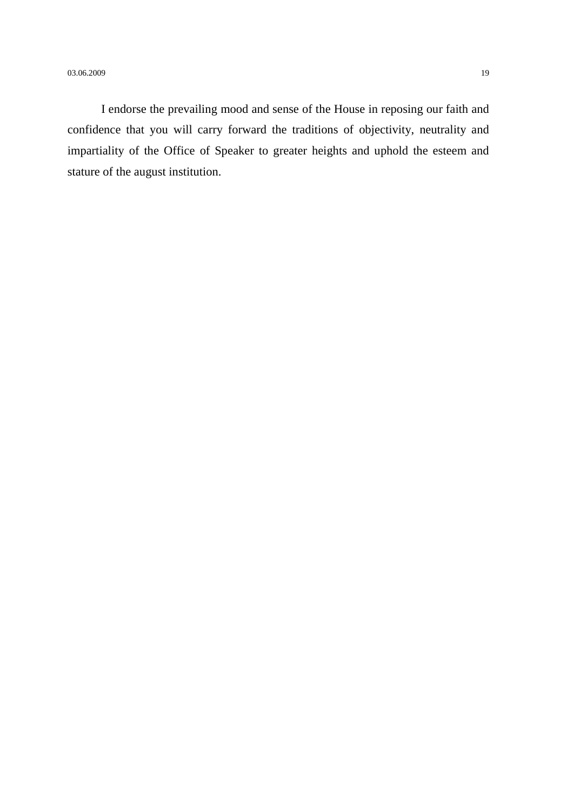I endorse the prevailing mood and sense of the House in reposing our faith and confidence that you will carry forward the traditions of objectivity, neutrality and impartiality of the Office of Speaker to greater heights and uphold the esteem and stature of the august institution.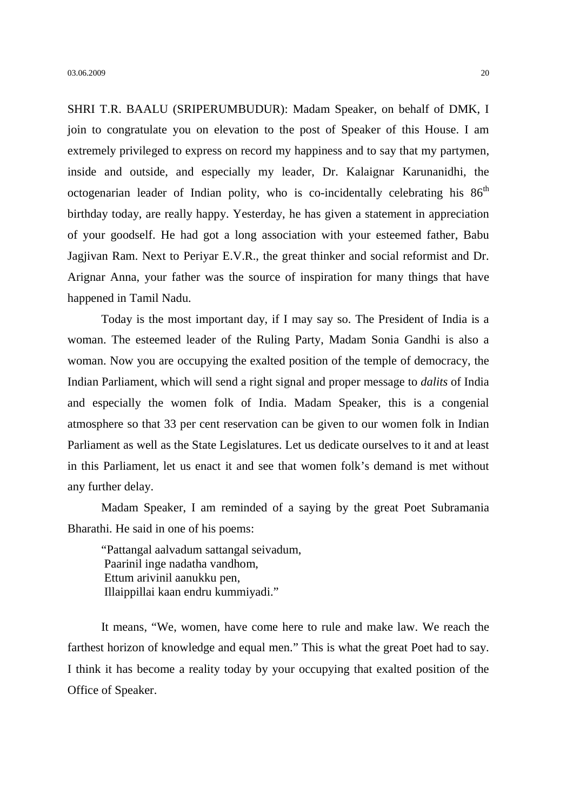SHRI T.R. BAALU (SRIPERUMBUDUR): Madam Speaker, on behalf of DMK, I join to congratulate you on elevation to the post of Speaker of this House. I am extremely privileged to express on record my happiness and to say that my partymen, inside and outside, and especially my leader, Dr. Kalaignar Karunanidhi, the octogenarian leader of Indian polity, who is co-incidentally celebrating his  $86<sup>th</sup>$ birthday today, are really happy. Yesterday, he has given a statement in appreciation of your goodself. He had got a long association with your esteemed father, Babu Jagjivan Ram. Next to Periyar E.V.R., the great thinker and social reformist and Dr. Arignar Anna, your father was the source of inspiration for many things that have happened in Tamil Nadu.

Today is the most important day, if I may say so. The President of India is a woman. The esteemed leader of the Ruling Party, Madam Sonia Gandhi is also a woman. Now you are occupying the exalted position of the temple of democracy, the Indian Parliament, which will send a right signal and proper message to *dalits* of India and especially the women folk of India. Madam Speaker, this is a congenial atmosphere so that 33 per cent reservation can be given to our women folk in Indian Parliament as well as the State Legislatures. Let us dedicate ourselves to it and at least in this Parliament, let us enact it and see that women folk's demand is met without any further delay.

Madam Speaker, I am reminded of a saying by the great Poet Subramania Bharathi. He said in one of his poems:

"Pattangal aalvadum sattangal seivadum, Paarinil inge nadatha vandhom, Ettum arivinil aanukku pen, Illaippillai kaan endru kummiyadi."

It means, "We, women, have come here to rule and make law. We reach the farthest horizon of knowledge and equal men." This is what the great Poet had to say. I think it has become a reality today by your occupying that exalted position of the Office of Speaker.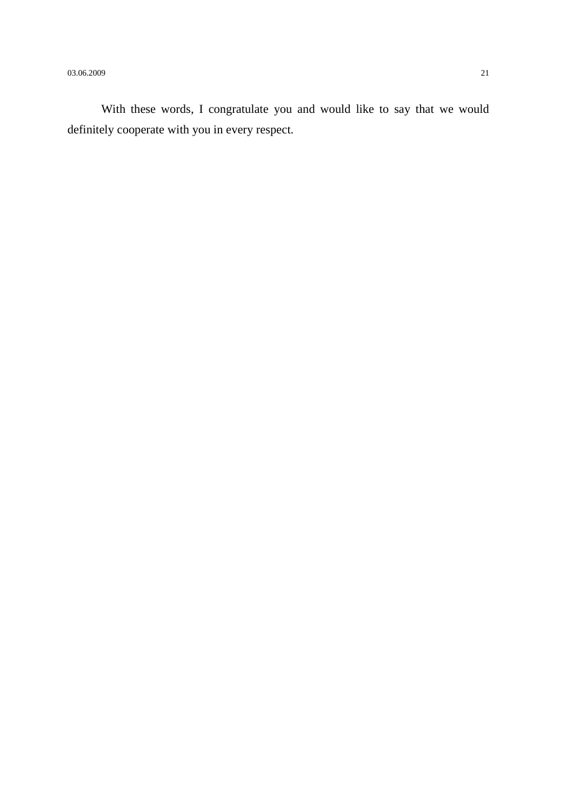$03.06.2009$  21

With these words, I congratulate you and would like to say that we would definitely cooperate with you in every respect.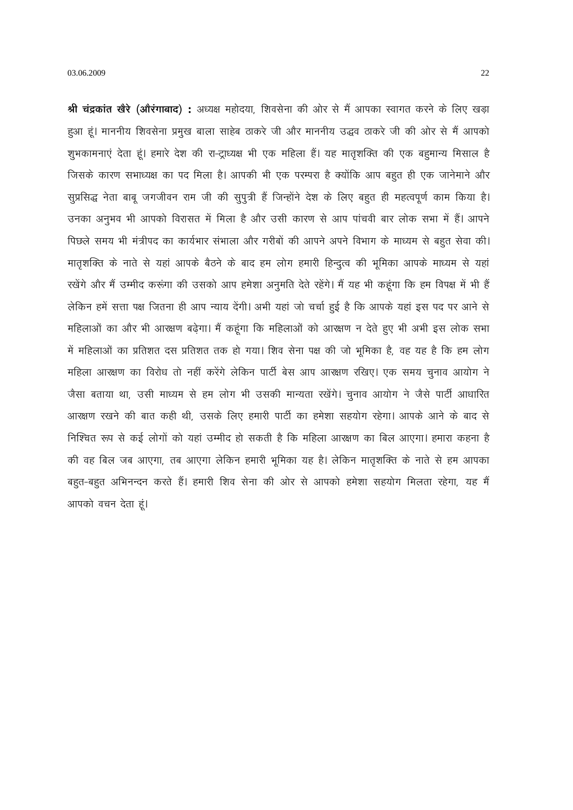श्री चंद्रकांत खेरे (ओरंगाबाद) : अध्यक्ष महोदया, शिवसेना की ओर से मैं आपका स्वागत करने के लिए खड़ा हुआ हूं। माननीय शिवसेना प्रमुख बाला साहेब ठाकरे जी और माननीय उद्धव ठाकरे जी की ओर से मैं आपको शूभकामनाएं देता हूं। हमारे देश की रा-ट्राध्यक्ष भी एक महिला हैं। यह मातृशक्ति की एक बहुमान्य मिसाल है जिसके कारण सभाध्यक्ष का पद मिला है। आपकी भी एक परम्परा है क्योंकि आप बहुत ही एक जानेमाने और सुप्रसिद्ध नेता बाबू जगजीवन राम जी की सुपुत्री हैं जिन्होंने देश के लिए बहुत ही महत्वपूर्ण काम किया है। उनका अनुभव भी आपको विरासत में मिला है और उसी कारण से आप पांचवी बार लोक सभा में हैं। आपने पिछले समय भी मंत्रीपद का कार्यभार संभाला और गरीबों की आपने अपने विभाग के माध्यम से बहुत सेवा की। मातृशक्ति के नाते से यहां आपके बैठने के बाद हम लोग हमारी हिन्दुत्व की भूमिका आपके माध्यम से यहां रखेंगे और मैं उम्मीद करूंगा की उसको आप हमेशा अनुमति देते रहेंगे। मैं यह भी कहूंगा कि हम विपक्ष में भी हैं लेकिन हमें सत्ता पक्ष जितना ही आप न्याय देंगी। अभी यहां जो चर्चा हुई है कि आपके यहां इस पद पर आने से महिलाओं का और भी आरक्षण बढ़ेगा। मैं कहूंगा कि महिलाओं को आरक्षण न देते हुए भी अभी इस लोक सभा में महिलाओं का प्रतिशत दस प्रतिशत तक हो गया। शिव सेना पक्ष की जो भूमिका है, वह यह है कि हम लोग महिला आरक्षण का विरोध तो नहीं करेंगे लेकिन पार्टी बेस आप आरक्षण रखिए। एक समय चुनाव आयोग ने जैसा बताया था, उसी माध्यम से हम लोग भी उसकी मान्यता रखेंगे। चूनाव आयोग ने जैसे पार्टी आधारित आरक्षण रखने की बात कही थी, उसके लिए हमारी पार्टी का हमेशा सहयोग रहेगा। आपके आने के बाद से निश्चित रूप से कई लोगों को यहां उम्मीद हो सकती है कि महिला आरक्षण का बिल आएगा। हमारा कहना है की वह बिल जब आएगा, तब आएगा लेकिन हमारी भूमिका यह है। लेकिन मातृशक्ति के नाते से हम आपका बहुत-बहुत अभिनन्दन करते हैं। हमारी शिव सेना की ओर से आपको हमेशा सहयोग मिलता रहेगा, यह मैं आपको वचन देता हूं।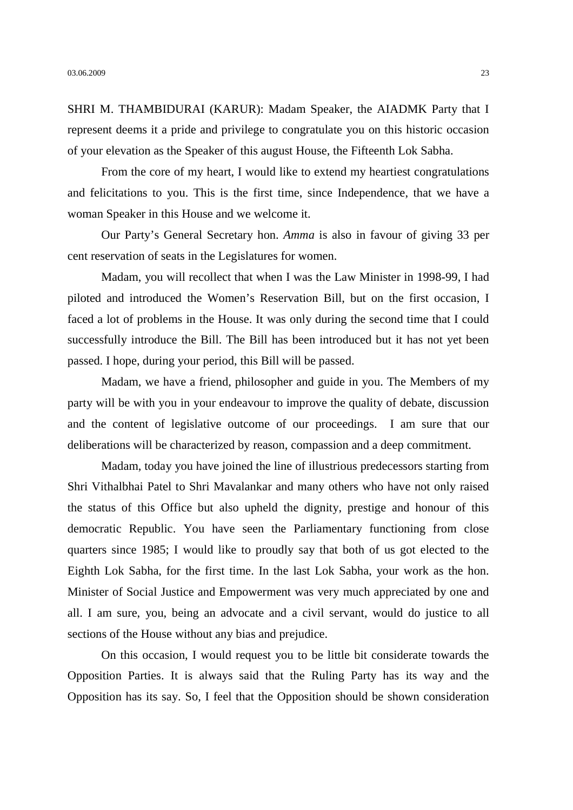SHRI M. THAMBIDURAI (KARUR): Madam Speaker, the AIADMK Party that I represent deems it a pride and privilege to congratulate you on this historic occasion of your elevation as the Speaker of this august House, the Fifteenth Lok Sabha.

From the core of my heart, I would like to extend my heartiest congratulations and felicitations to you. This is the first time, since Independence, that we have a woman Speaker in this House and we welcome it.

Our Party's General Secretary hon. *Amma* is also in favour of giving 33 per cent reservation of seats in the Legislatures for women.

Madam, you will recollect that when I was the Law Minister in 1998-99, I had piloted and introduced the Women's Reservation Bill, but on the first occasion, I faced a lot of problems in the House. It was only during the second time that I could successfully introduce the Bill. The Bill has been introduced but it has not yet been passed. I hope, during your period, this Bill will be passed.

Madam, we have a friend, philosopher and guide in you. The Members of my party will be with you in your endeavour to improve the quality of debate, discussion and the content of legislative outcome of our proceedings. I am sure that our deliberations will be characterized by reason, compassion and a deep commitment.

Madam, today you have joined the line of illustrious predecessors starting from Shri Vithalbhai Patel to Shri Mavalankar and many others who have not only raised the status of this Office but also upheld the dignity, prestige and honour of this democratic Republic. You have seen the Parliamentary functioning from close quarters since 1985; I would like to proudly say that both of us got elected to the Eighth Lok Sabha, for the first time. In the last Lok Sabha, your work as the hon. Minister of Social Justice and Empowerment was very much appreciated by one and all. I am sure, you, being an advocate and a civil servant, would do justice to all sections of the House without any bias and prejudice.

On this occasion, I would request you to be little bit considerate towards the Opposition Parties. It is always said that the Ruling Party has its way and the Opposition has its say. So, I feel that the Opposition should be shown consideration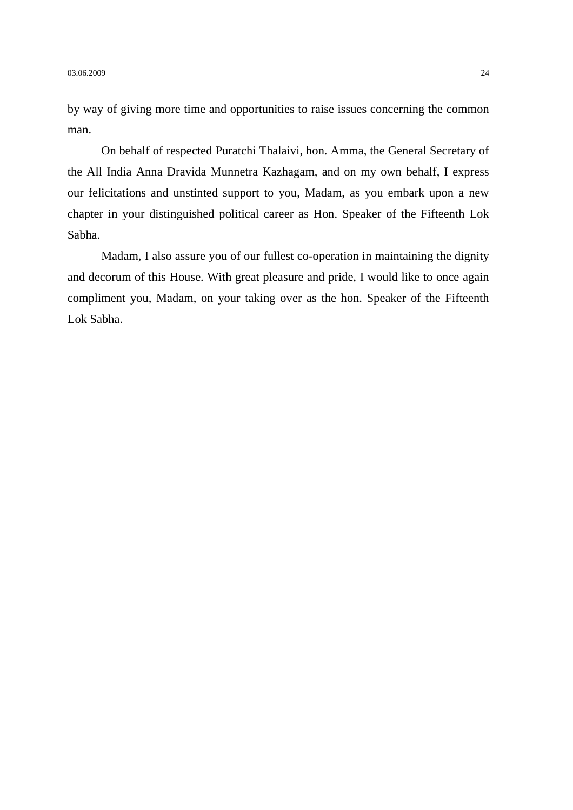by way of giving more time and opportunities to raise issues concerning the common man.

On behalf of respected Puratchi Thalaivi, hon. Amma, the General Secretary of the All India Anna Dravida Munnetra Kazhagam*,* and on my own behalf, I express our felicitations and unstinted support to you, Madam, as you embark upon a new chapter in your distinguished political career as Hon. Speaker of the Fifteenth Lok Sabha.

Madam, I also assure you of our fullest co-operation in maintaining the dignity and decorum of this House. With great pleasure and pride, I would like to once again compliment you, Madam, on your taking over as the hon. Speaker of the Fifteenth Lok Sabha.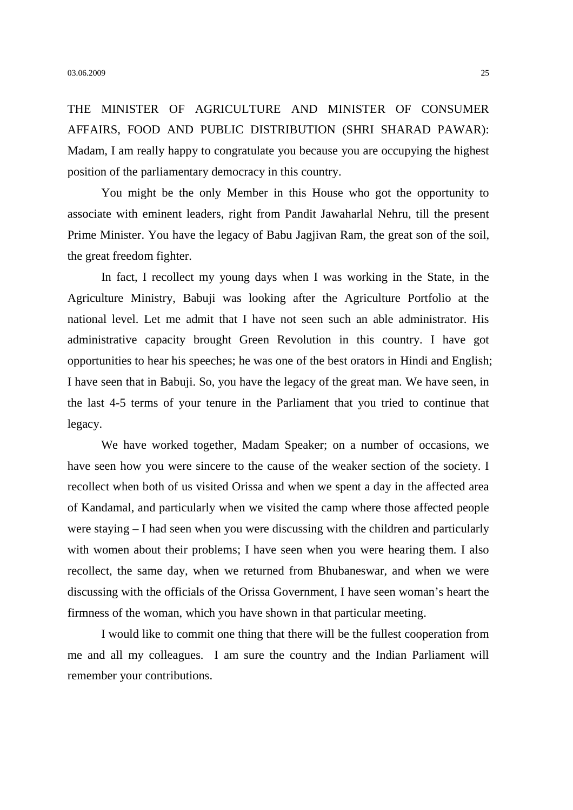THE MINISTER OF AGRICULTURE AND MINISTER OF CONSUMER AFFAIRS, FOOD AND PUBLIC DISTRIBUTION (SHRI SHARAD PAWAR): Madam, I am really happy to congratulate you because you are occupying the highest position of the parliamentary democracy in this country.

You might be the only Member in this House who got the opportunity to associate with eminent leaders, right from Pandit Jawaharlal Nehru, till the present Prime Minister. You have the legacy of Babu Jagjivan Ram, the great son of the soil, the great freedom fighter.

In fact, I recollect my young days when I was working in the State, in the Agriculture Ministry, Babuji was looking after the Agriculture Portfolio at the national level. Let me admit that I have not seen such an able administrator. His administrative capacity brought Green Revolution in this country. I have got opportunities to hear his speeches; he was one of the best orators in Hindi and English; I have seen that in Babuji. So, you have the legacy of the great man. We have seen, in the last 4-5 terms of your tenure in the Parliament that you tried to continue that legacy.

We have worked together, Madam Speaker; on a number of occasions, we have seen how you were sincere to the cause of the weaker section of the society. I recollect when both of us visited Orissa and when we spent a day in the affected area of Kandamal, and particularly when we visited the camp where those affected people were staying – I had seen when you were discussing with the children and particularly with women about their problems; I have seen when you were hearing them. I also recollect, the same day, when we returned from Bhubaneswar, and when we were discussing with the officials of the Orissa Government, I have seen woman's heart the firmness of the woman, which you have shown in that particular meeting.

I would like to commit one thing that there will be the fullest cooperation from me and all my colleagues. I am sure the country and the Indian Parliament will remember your contributions.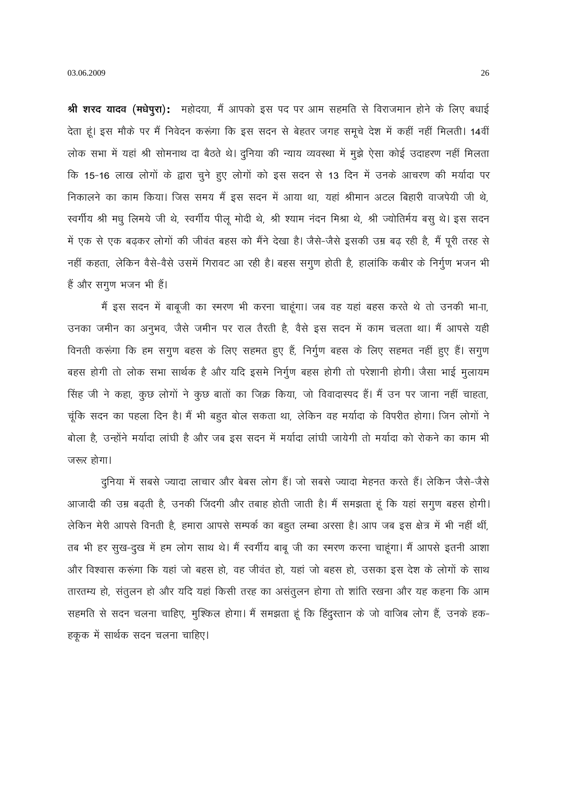श्री शरद यादव (मधेपूरा): महोदया, मैं आपको इस पद पर आम सहमति से विराजमान होने के लिए बधाई देता हूं। इस मौके पर मैं निवेदन करूंगा कि इस सदन से बेहतर जगह समूचे देश में कहीं नहीं मिलती। 14वीं लोक सभा में यहां श्री सोमनाथ दा बैठते थे। दुनिया की न्याय व्यवस्था में मुझे ऐसा कोई उदाहरण नहीं मिलता कि 15-16 लाख लोगों के द्वारा चूने हुए लोगों को इस सदन से 13 दिन में उनके आचरण की मर्यादा पर निकालने का काम किया। जिस समय मैं इस सदन में आया था, यहां श्रीमान अटल बिहारी वाजपेयी जी थे, स्वर्गीय श्री मधु लिमये जी थे, स्वर्गीय पीलू मोदी थे, श्री श्याम नंदन मिश्रा थे, श्री ज्योतिर्मय बसु थे। इस सदन में एक से एक बढ़कर लोगों की जीवंत बहस को मैंने देखा है। जैसे-जैसे इसकी उम्र बढ़ रही है, मैं पूरी तरह से नहीं कहता, लेकिन वैसे-वैसे उसमें गिरावट आ रही है। बहस सगुण होती है, हालांकि कबीर के निर्गुण भजन भी हैं और सगूण भजन भी हैं।

मैं इस सदन में बाबूजी का रमरण भी करना चाहूंगा। जब वह यहां बहस करते थे तो उनकी भाना, उनका जमीन का अनुभव, जैसे जमीन पर राल तैरती है, वैसे इस सदन में काम चलता था। मैं आपसे यही विनती करूंगा कि हम सगुण बहस के लिए सहमत हुए हैं, निर्गुण बहस के लिए सहमत नहीं हुए हैं। सगुण बहस होगी तो लोक सभा सार्थक है और यदि इसमे निर्गुण बहस होगी तो परेशानी होगी। जैसा भाई मुलायम सिंह जी ने कहा, कुछ लोगों ने कुछ बातों का जिक्र किया, जो विवादास्पद हैं। मैं उन पर जाना नहीं चाहता, चूंकि सदन का पहला दिन है। मैं भी बहुत बोल सकता था, लेकिन वह मर्यादा के विपरीत होगा। जिन लोगों ने बोला है, उन्होंने मर्यादा लांघी है और जब इस सदन में मर्यादा लांघी जायेगी तो मर्यादा को रोकने का काम भी जरूर होगा।

दुनिया में सबसे ज्यादा लाचार और बेबस लोग हैं। जो सबसे ज्यादा मेहनत करते हैं। लेकिन जैसे-जैसे आजादी की उम्र बढ़ती है, उनकी जिंदगी और तबाह होती जाती है। मैं समझता हूं कि यहां सगूण बहस होगी। लेकिन मेरी आपसे विनती है, हमारा आपसे सम्पर्क का बहुत लम्बा अरसा है। आप जब इस क्षेत्र में भी नहीं थीं, तब भी हर सुख-दुख में हम लोग साथ थे। मैं स्वर्गीय बाबू जी का स्मरण करना चाहूंगा। मैं आपसे इतनी आशा और विश्वास करूंगा कि यहां जो बहस हो, वह जीवंत हो, यहां जो बहस हो, उसका इस देश के लोगों के साथ तारतम्य हो, संतुलन हो और यदि यहां किसी तरह का असंतुलन होगा तो शांति रखना और यह कहना कि आम सहमति से सदन चलना चाहिए, मुश्किल होगा। मैं समझता हूं कि हिंदुस्तान के जो वाजिब लोग हैं, उनके हक-हकूक में सार्थक सदन चलना चाहिए।

26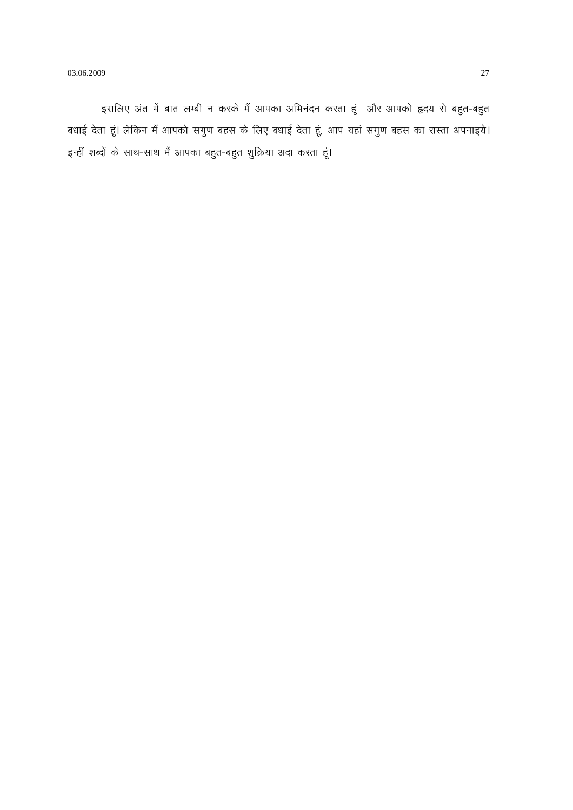इसलिए अंत में बात लम्बी न करके मैं आपका अभिनंदन करता हूं और आपको हृदय से बहुत-बहुत बधाई देता हूं। लेकिन मैं आपको सगुण बहस के लिए बधाई देता हूं, आप यहां सगुण बहस का रास्ता अपनाइये। इन्हीं शब्दों के साथ-साथ मैं आपका बहुत-बहुत शुक्रिया अदा करता हूं।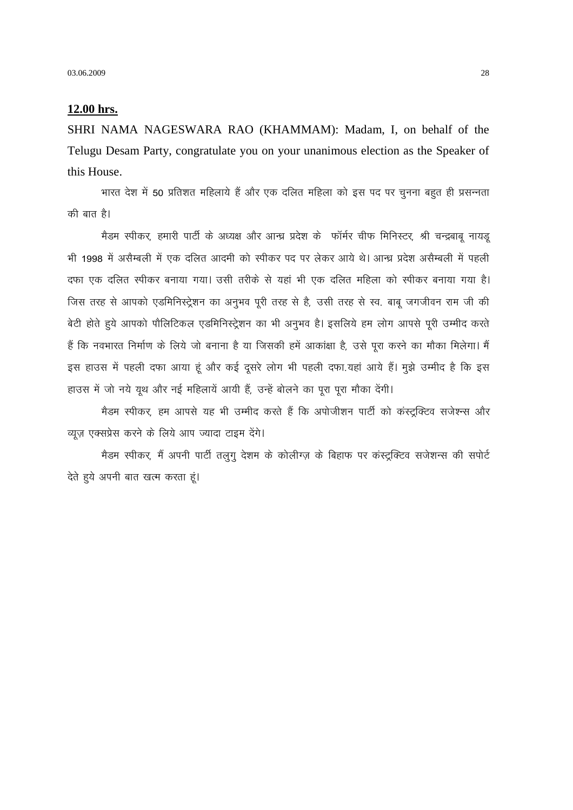#### 12.00 hrs.

SHRI NAMA NAGESWARA RAO (KHAMMAM): Madam, I, on behalf of the Telugu Desam Party, congratulate you on your unanimous election as the Speaker of this House.

भारत देश में 50 प्रतिशत महिलाये हैं और एक दलित महिला को इस पद पर चुनना बहुत ही प्रसन्नता की बात है।

मैडम स्पीकर, हमारी पार्टी के अध्यक्ष और आन्ध्र प्रदेश के फॉर्मर चीफ मिनिस्टर, श्री चन्द्रबाबू नायडू भी 1998 में असैम्बली में एक दलित आदमी को स्पीकर पद पर लेकर आये थे। आन्ध्र प्रदेश असैम्बली में पहली दफा एक दलित स्पीकर बनाया गया। उसी तरीके से यहां भी एक दलित महिला को स्पीकर बनाया गया है। जिस तरह से आपको एडमिनिस्ट्रेशन का अनुभव पुरी तरह से है, उसी तरह से स्व. बाब जगजीवन राम जी की बेटी होते हुये आपको पौलिटिकल एडमिनिस्ट्रेशन का भी अनुभव है। इसलिये हम लोग आपसे पूरी उम्मीद करते हैं कि नवभारत निर्माण के लिये जो बनाना है या जिसकी हमें आकांक्षा है, उसे पूरा करने का मौका मिलेगा। मैं इस हाउस में पहली दफा आया हूं और कई दूसरे लोग भी पहली दफा.यहां आये हैं। मूझे उम्मीद है कि इस हाउस में जो नये यूथ और नई महिलायें आयी हैं, उन्हें बोलने का पूरा पूरा मौका देंगी।

मैडम स्पीकर, हम आपसे यह भी उम्मीद करते हैं कि अपोजीशन पार्टी को कंस्ट्रक्टिव सजेश्न्स और व्यूज़ एक्सप्रेस करने के लिये आप ज्यादा टाइम देंगे।

मैडम स्पीकर, मैं अपनी पार्टी तलुगु देशम के कोलीग्ज़ के बिहाफ पर कंस्ट्रक्टिव सजेशन्स की सपोर्ट देते हुये अपनी बात खत्म करता हूं।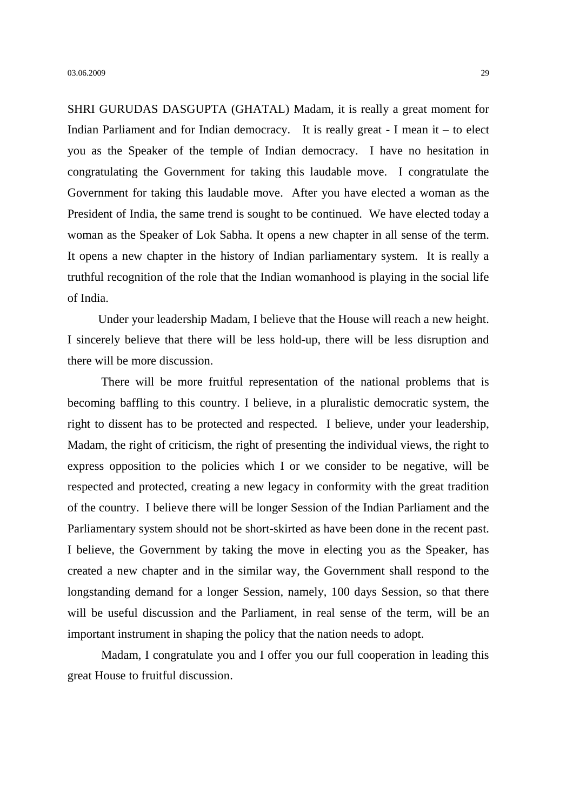SHRI GURUDAS DASGUPTA (GHATAL) Madam, it is really a great moment for Indian Parliament and for Indian democracy. It is really great - I mean it – to elect you as the Speaker of the temple of Indian democracy. I have no hesitation in congratulating the Government for taking this laudable move. I congratulate the Government for taking this laudable move. After you have elected a woman as the President of India, the same trend is sought to be continued. We have elected today a woman as the Speaker of Lok Sabha. It opens a new chapter in all sense of the term. It opens a new chapter in the history of Indian parliamentary system. It is really a truthful recognition of the role that the Indian womanhood is playing in the social life of India.

Under your leadership Madam, I believe that the House will reach a new height. I sincerely believe that there will be less hold-up, there will be less disruption and there will be more discussion.

There will be more fruitful representation of the national problems that is becoming baffling to this country. I believe, in a pluralistic democratic system, the right to dissent has to be protected and respected. I believe, under your leadership, Madam, the right of criticism, the right of presenting the individual views, the right to express opposition to the policies which I or we consider to be negative, will be respected and protected, creating a new legacy in conformity with the great tradition of the country. I believe there will be longer Session of the Indian Parliament and the Parliamentary system should not be short-skirted as have been done in the recent past. I believe, the Government by taking the move in electing you as the Speaker, has created a new chapter and in the similar way, the Government shall respond to the longstanding demand for a longer Session, namely, 100 days Session, so that there will be useful discussion and the Parliament, in real sense of the term, will be an important instrument in shaping the policy that the nation needs to adopt.

Madam, I congratulate you and I offer you our full cooperation in leading this great House to fruitful discussion.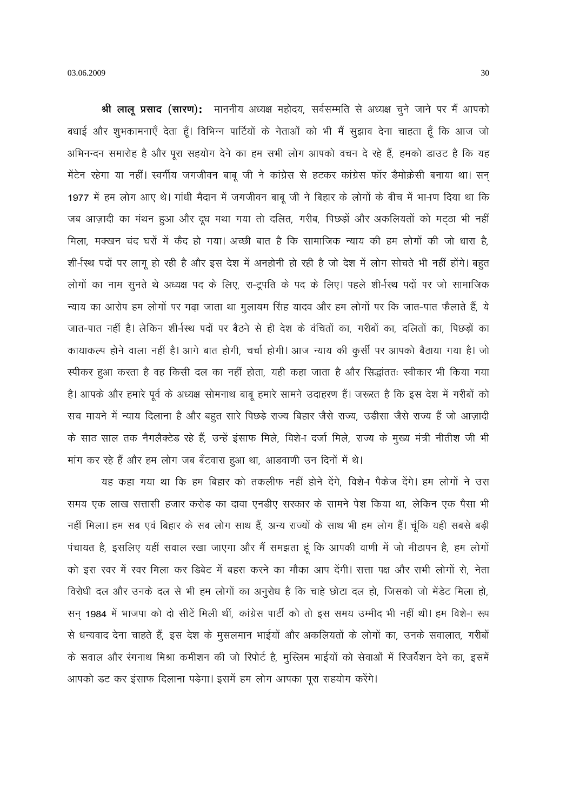श्री लालू प्रसाद (सारण): माननीय अध्यक्ष महोदय, सर्वसम्मति से अध्यक्ष चुने जाने पर मैं आपको बधाई और शुभकामनाएँ देता हूँ। विभिन्न पार्टियों के नेताओं को भी मैं सूझाव देना चाहता हूँ कि आज जो अभिनन्दन समारोह है और पूरा सहयोग देने का हम सभी लोग आपको वचन दे रहे हैं, हमको डाउट है कि यह मेंटेन रहेगा या नहीं। स्वर्गीय जगजीवन बाबू जी ने कांग्रेस से हटकर कांग्रेस फॉर डैमोक्रेसी बनाया था। सन 1977 में हम लोग आए थे। गांधी मैदान में जगजीवन बाबू जी ने बिहार के लोगों के बीच में भा-ाण दिया था कि जब आज़ादी का मंथन हुआ और दूध मथा गया तो दलित, गरीब, पिछड़ों और अकलियतों को मट़ठा भी नहीं मिला, मक्खन चंद घरों में कैद हो गया। अच्छी बात है कि सामाजिक न्याय की हम लोगों की जो धारा है, शी-स्थि पदों पर लागू हो रही है और इस देश में अनहोनी हो रही है जो देश में लोग सोचते भी नहीं होंगे। बहुत लोगों का नाम सूनते थे अध्यक्ष पद के लिए, रा-ट्रपति के पद के लिए। पहले शी-रिथ पदों पर जो सामाजिक न्याय का आरोप हम लोगों पर गढ़ा जाता था मुलायम सिंह यादव और हम लोगों पर कि जात-पात फैलाते हैं, ये जात-पात नहीं है। लेकिन शी-रिश्य पदों पर बैठने से ही देश के वंचितों का, गरीबों का, दलितों का, पिछड़ों का कायाकल्प होने वाला नहीं है। आगे बात होगी, चर्चा होगी। आज न्याय की कुर्सी पर आपको बैठाया गया है। जो स्पीकर हुआ करता है वह किसी दल का नहीं होता, यही कहा जाता है और सिद्धांततः स्वीकार भी किया गया है। आपके और हमारे पूर्व के अध्यक्ष सोमनाथ बाबू हमारे सामने उदाहरण हैं। जरूरत है कि इस देश में गरीबों को सच मायने में न्याय दिलाना है और बहुत सारे पिछड़े राज्य बिहार जैसे राज्य, उड़ीसा जैसे राज्य हैं जो आज़ादी के साठ साल तक नैगलैक्टेड रहे हैं, उन्हें इंसाफ मिले, विशे-ा दर्जा मिले, राज्य के मुख्य मंत्री नीतीश जी भी मांग कर रहे हैं और हम लोग जब बँटवारा हुआ था, आडवाणी उन दिनों में थे।

यह कहा गया था कि हम बिहार को तकलीफ नहीं होने देंगे, विशेन पैकेज देंगे। हम लोगों ने उस समय एक लाख सत्तासी हजार करोड़ का दावा एनडीए सरकार के सामने पेश किया था, लेकिन एक पैसा भी नहीं मिला। हम सब एवं बिहार के सब लोग साथ हैं, अन्य राज्यों के साथ भी हम लोग हैं। चूंकि यही सबसे बड़ी पंचायत है, इसलिए यहीं सवाल रखा जाएगा और मैं समझता हूं कि आपकी वाणी में जो मीठापन है, हम लोगों को इस स्वर में स्वर मिला कर डिबेट में बहस करने का मौका आप देंगी। सत्ता पक्ष और सभी लोगों से, नेता विरोधी दल और उनके दल से भी हम लोगों का अनुरोध है कि चाहे छोटा दल हो, जिसको जो मेंडेट मिला हो, सन् 1984 में भाजपा को दो सीटें मिली थीं, कांग्रेस पार्टी को तो इस समय उम्मीद भी नहीं थी। हम विशे-ा रूप से धन्यवाद देना चाहते हैं, इस देश के मुसलमान भाईयों और अकलियतों के लोगों का, उनके सवालात, गरीबों के सवाल और रंगनाथ मिश्रा कमीशन की जो रिपोर्ट है, मुस्लिम भाईयों को सेवाओं में रिजर्वेशन देने का, इसमें आपको डट कर इंसाफ दिलाना पड़ेगा। इसमें हम लोग आपका पूरा सहयोग करेंगे।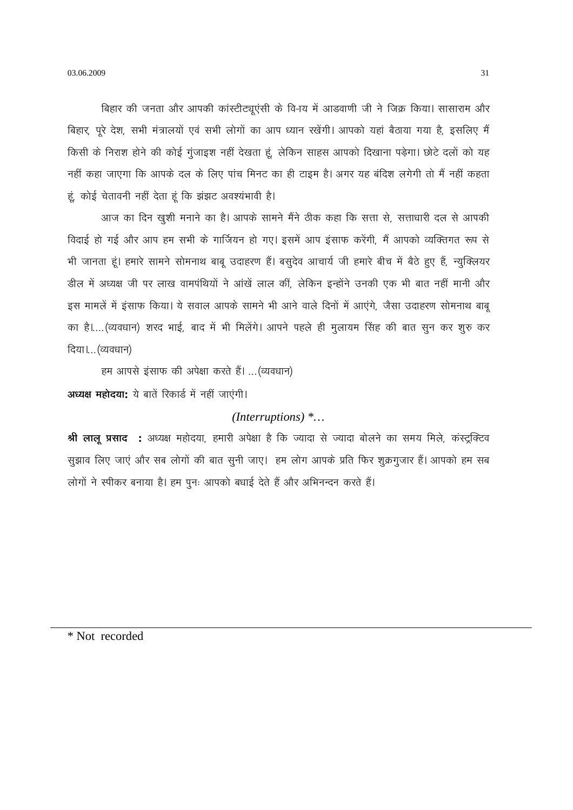बिहार की जनता और आपकी कांस्टीट्यूएंसी के वि-ाय में आडवाणी जी ने जिक्र किया। सासाराम और बिहार, पूरे देश, सभी मंत्रालयों एवं सभी लोगों का आप ध्यान रखेंगी। आपको यहां बैठाया गया है, इसलिए मैं किसी के निराश होने की कोई गुंजाइश नहीं देखता हूं, लेकिन साहस आपको दिखाना पड़ेगा। छोटे दलों को यह नहीं कहा जाएगा कि आपके दल के लिए पांच मिनट का ही टाइम है। अगर यह बंदिश लगेगी तो मैं नहीं कहता हूं, कोई चेतावनी नहीं देता हूं कि झंझट अवश्यंभावी है।

आज का दिन खुशी मनाने का है। आपके सामने मैंने ठीक कहा कि सत्ता से, सत्ताधारी दल से आपकी विदाई हो गई और आप हम सभी के गार्जियन हो गए। इसमें आप इंसाफ करेंगी, मैं आपको व्यक्तिगत रूप से भी जानता हूं। हमारे सामने सोमनाथ बाबू उदाहरण हैं। बसूदेव आचार्य जी हमारे बीच में बैठे हुए हैं, न्यूक्लियर डील में अध्यक्ष जी पर लाख वामपंथियों ने आंखें लाल कीं, लेकिन इन्होंने उनकी एक भी बात नहीं मानी और इस मामलें में इंसाफ किया। ये सवाल आपके सामने भी आने वाले दिनों में आएंगे, जैसा उदाहरण सोमनाथ बाबू का है।....(व्यवधान) शरद भाई, बाद में भी मिलेंगे। आपने पहले ही मुलायम सिंह की बात सून कर शुरु कर दिया।... (व्यवधान)

हम आपसे इंसाफ की अपेक्षा करते हैं। ... (व्यवधान)

अध्यक्ष महोदया: ये बातें रिकार्ड में नहीं जाएंगी।

### (Interruptions)  $*...$

श्री लालू प्रसाद : अध्यक्ष महोदया, हमारी अपेक्षा है कि ज्यादा से ज्यादा बोलने का समय मिले, कंस्ट्रक्टिव सूझाव लिए जाएं और सब लोगों की बात सुनी जाए। हम लोग आपके प्रति फिर शुक्रगुजार हैं। आपको हम सब लोगों ने स्पीकर बनाया है। हम पूनः आपको बधाई देते हैं और अभिनन्दन करते हैं।

\* Not recorded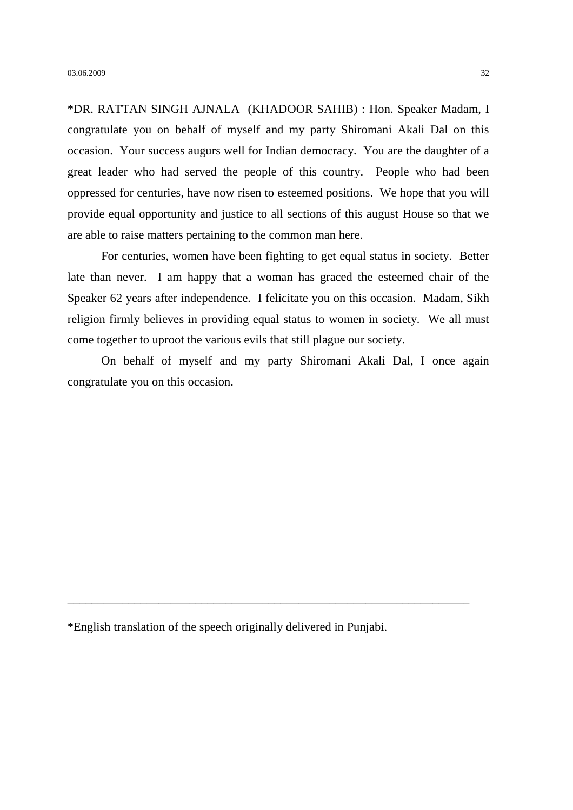\*DR. RATTAN SINGH AJNALA (KHADOOR SAHIB) : Hon. Speaker Madam, I congratulate you on behalf of myself and my party Shiromani Akali Dal on this occasion. Your success augurs well for Indian democracy. You are the daughter of a great leader who had served the people of this country. People who had been oppressed for centuries, have now risen to esteemed positions. We hope that you will provide equal opportunity and justice to all sections of this august House so that we are able to raise matters pertaining to the common man here.

For centuries, women have been fighting to get equal status in society. Better late than never. I am happy that a woman has graced the esteemed chair of the Speaker 62 years after independence. I felicitate you on this occasion. Madam, Sikh religion firmly believes in providing equal status to women in society. We all must come together to uproot the various evils that still plague our society.

On behalf of myself and my party Shiromani Akali Dal, I once again congratulate you on this occasion.

\*English translation of the speech originally delivered in Punjabi.

\_\_\_\_\_\_\_\_\_\_\_\_\_\_\_\_\_\_\_\_\_\_\_\_\_\_\_\_\_\_\_\_\_\_\_\_\_\_\_\_\_\_\_\_\_\_\_\_\_\_\_\_\_\_\_\_\_\_\_\_\_\_\_\_\_\_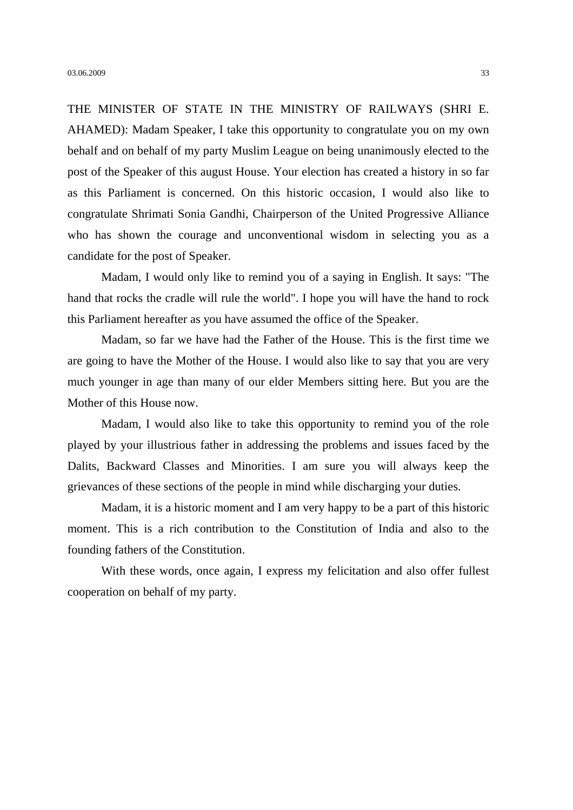THE MINISTER OF STATE IN THE MINISTRY OF RAILWAYS (SHRI E. AHAMED): Madam Speaker, I take this opportunity to congratulate you on my own behalf and on behalf of my party Muslim League on being unanimously elected to the post of the Speaker of this august House. Your election has created a history in so far as this Parliament is concerned. On this historic occasion, I would also like to congratulate Shrimati Sonia Gandhi, Chairperson of the United Progressive Alliance who has shown the courage and unconventional wisdom in selecting you as a candidate for the post of Speaker.

Madam, I would only like to remind you of a saying in English. It says: "The hand that rocks the cradle will rule the world". I hope you will have the hand to rock this Parliament hereafter as you have assumed the office of the Speaker.

Madam, so far we have had the Father of the House. This is the first time we are going to have the Mother of the House. I would also like to say that you are very much younger in age than many of our elder Members sitting here. But you are the Mother of this House now.

Madam, I would also like to take this opportunity to remind you of the role played by your illustrious father in addressing the problems and issues faced by the Dalits, Backward Classes and Minorities. I am sure you will always keep the grievances of these sections of the people in mind while discharging your duties.

Madam, it is a historic moment and I am very happy to be a part of this historic moment. This is a rich contribution to the Constitution of India and also to the founding fathers of the Constitution.

With these words, once again, I express my felicitation and also offer fullest cooperation on behalf of my party.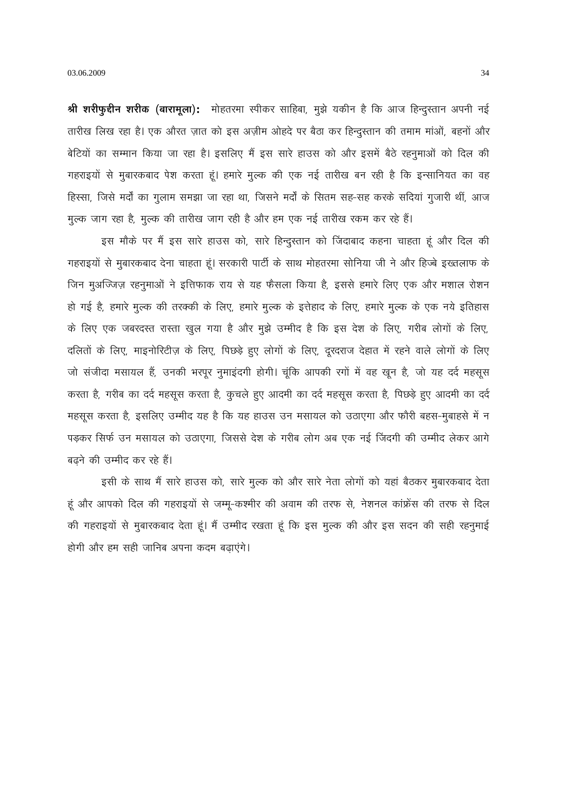03.06.2009

श्री शरीफुद्दीन शरीक (बारामूला): मोहतरमा स्पीकर साहिबा, मुझे यकीन है कि आज हिन्दुस्तान अपनी नई तारीख लिख रहा है। एक औरत ज़ात को इस अज़ीम ओहदे पर बैठा कर हिन्दुस्तान की तमाम मांओं, बहनों और बेटियों का सम्मान किया जा रहा है। इसलिए मैं इस सारे हाउस को और इसमें बैठे रहनूमाओं को दिल की गहराइयों से मुबारकबाद पेश करता हूं। हमारे मूल्क की एक नई तारीख बन रही है कि इन्सानियत का वह हिस्सा, जिसे मर्दों का गुलाम समझा जा रहा था, जिसने मर्दों के सितम सह-सह करके सदियां गुजारी थीं, आज मुल्क जाग रहा है, मुल्क की तारीख जाग रही है और हम एक नई तारीख रकम कर रहे हैं।

इस मौके पर मैं इस सारे हाउस को, सारे हिन्दुस्तान को जिंदाबाद कहना चाहता हूं और दिल की गहराइयों से मुबारकबाद देना चाहता हूं। सरकारी पार्टी के साथ मोहतरमा सोनिया जी ने और हिज्बे इख्तलाफ के जिन मूअज्जिज़ रहनुमाओं ने इत्तिफाक राय से यह फैसला किया है, इससे हमारे लिए एक और मशाल रोशन हो गई है, हमारे मुल्क की तरक्की के लिए, हमारे मुल्क के इत्तेहाद के लिए, हमारे मुल्क के एक नये इतिहास के लिए एक जबरदस्त रास्ता खुल गया है और मुझे उम्मीद है कि इस देश के लिए, गरीब लोगों के लिए, दलितों के लिए, माइनोरिटीज़ के लिए, पिछड़े हुए लोगों के लिए, दूरदराज देहात में रहने वाले लोगों के लिए जो संजीदा मसायल हैं, उनकी भरपूर नुमाइंदगी होगी। चूंकि आपकी रगों में वह खून है, जो यह दर्द महसूस करता है, गरीब का दर्द महसूस करता है, कुचले हुए आदमी का दर्द महसूस करता है, पिछड़े हुए आदमी का दर्द महसूस करता है, इसलिए उम्मीद यह है कि यह हाउस उन मसायल को उठाएगा और फौरी बहस-मुबाहसे में न पड़कर सिर्फ उन मसायल को उठाएगा, जिससे देश के गरीब लोग अब एक नई जिंदगी की उम्मीद लेकर आगे बढने की उम्मीद कर रहे हैं।

इसी के साथ मैं सारे हाउस को, सारे मुल्क को और सारे नेता लोगों को यहां बैठकर मुबारकबाद देता हूं और आपको दिल की गहराइयों से जम्मू-कश्मीर की अवाम की तरफ से, नेशनल कांफ्रेंस की तरफ से दिल की गहराइयों से मुबारकबाद देता हूं। मैं उम्मीद रखता हूं कि इस मूल्क की और इस सदन की सही रहनूमाई होगी और हम सही जानिब अपना कदम बढाएंगे।

34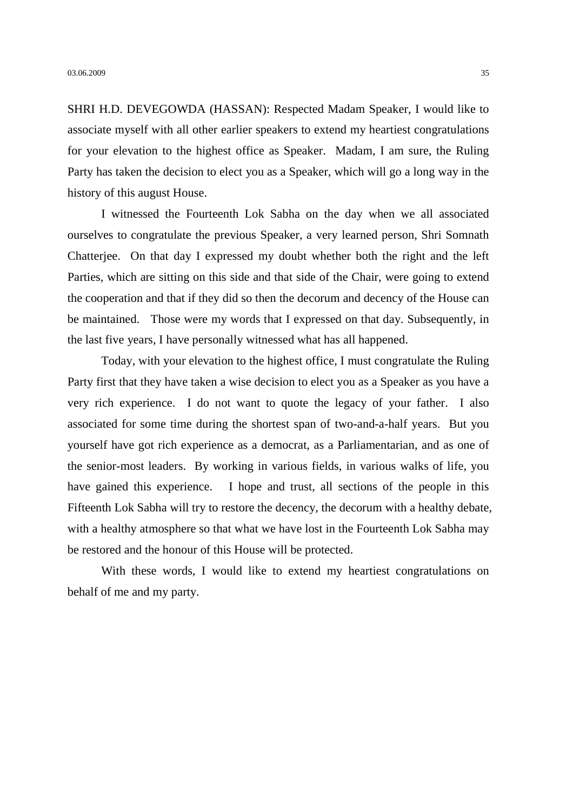SHRI H.D. DEVEGOWDA (HASSAN): Respected Madam Speaker, I would like to associate myself with all other earlier speakers to extend my heartiest congratulations for your elevation to the highest office as Speaker. Madam, I am sure, the Ruling Party has taken the decision to elect you as a Speaker, which will go a long way in the history of this august House.

I witnessed the Fourteenth Lok Sabha on the day when we all associated ourselves to congratulate the previous Speaker, a very learned person, Shri Somnath Chatterjee. On that day I expressed my doubt whether both the right and the left Parties, which are sitting on this side and that side of the Chair, were going to extend the cooperation and that if they did so then the decorum and decency of the House can be maintained. Those were my words that I expressed on that day. Subsequently, in the last five years, I have personally witnessed what has all happened.

Today, with your elevation to the highest office, I must congratulate the Ruling Party first that they have taken a wise decision to elect you as a Speaker as you have a very rich experience. I do not want to quote the legacy of your father. I also associated for some time during the shortest span of two-and-a-half years. But you yourself have got rich experience as a democrat, as a Parliamentarian, and as one of the senior-most leaders. By working in various fields, in various walks of life, you have gained this experience. I hope and trust, all sections of the people in this Fifteenth Lok Sabha will try to restore the decency, the decorum with a healthy debate, with a healthy atmosphere so that what we have lost in the Fourteenth Lok Sabha may be restored and the honour of this House will be protected.

With these words, I would like to extend my heartiest congratulations on behalf of me and my party.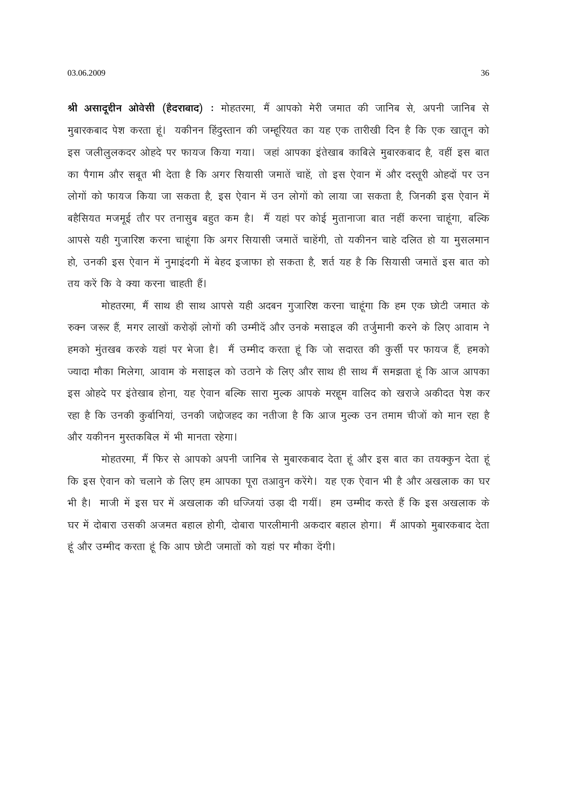श्री असाद्र्द्दीन ओवेसी (हैदराबाद) : मोहतरमा, मैं आपको मेरी जमात की जानिब से, अपनी जानिब से मुबारकबाद पेश करता हूं। यकीनन हिंदुस्तान की जम्हूरियत का यह एक तारीखी दिन है कि एक खातून को इस जलीलूलकदर ओहदे पर फायज किया गया। जहां आपका इंतेखाब काबिले मुबारकबाद है, वहीं इस बात का पैगाम और सबूत भी देता है कि अगर सियासी जमातें चाहें, तो इस ऐवान में और दस्तूरी ओहदों पर उन लोगों को फायज किया जा सकता है, इस ऐवान में उन लोगों को लाया जा सकता है, जिनकी इस ऐवान में बहैसियत मजमूई तौर पर तनासुब बहुत कम है। मैं यहां पर कोई मुतानाजा बात नहीं करना चाहूंगा, बल्कि आपसे यही गुजारिश करना चाहूंगा कि अगर सियासी जमातें चाहेंगी, तो यकीनन चाहे दलित हो या मुसलमान हो, उनकी इस ऐवान में नुमाइंदगी में बेहद इजाफा हो सकता है, शर्त यह है कि सियासी जमातें इस बात को तय करें कि वे क्या करना चाहती हैं।

मोहतरमा, मैं साथ ही साथ आपसे यही अदबन गुजारिश करना चाहूंगा कि हम एक छोटी जमात के रुक्न जरूर हैं, मगर लाखों करोड़ों लोगों की उम्मीदें और उनके मसाइल की तर्जुमानी करने के लिए आवाम ने हमको मुंतखब करके यहां पर भेजा है। मैं उम्मीद करता हूं कि जो सदारत की कुर्सी पर फायज हैं, हमको ज्यादा मौका मिलेगा, आवाम के मसाइल को उठाने के लिए और साथ ही साथ मैं समझता हूं कि आज आपका इस ओहदे पर इंतेखाब होना, यह ऐवान बल्कि सारा मुल्क आपके मरहूम वालिद को खराजे अकीदत पेश कर रहा है कि उनकी कुर्बानियां, उनकी जद्दोजहद का नतीजा है कि आज मूल्क उन तमाम चीजों को मान रहा है और यकीनन मुस्तकबिल में भी मानता रहेगा।

मोहतरमा, मैं फिर से आपको अपनी जानिब से मुबारकबाद देता हूं और इस बात का तयक्कून देता हूं कि इस ऐवान को चलाने के लिए हम आपका पूरा तआवून करेंगे। यह एक ऐवान भी है और अखलाक का घर भी है। माजी में इस घर में अखलाक की धज्जियां उड़ा दी गयीं। हम उम्मीद करते हैं कि इस अखलाक के घर में दोबारा उसकी अजमत बहाल होगी, दोबारा पारलीमानी अकदार बहाल होगा। मैं आपको मुबारकबाद देता हूं और उम्मीद करता हूं कि आप छोटी जमातों को यहां पर मौका देंगी।

36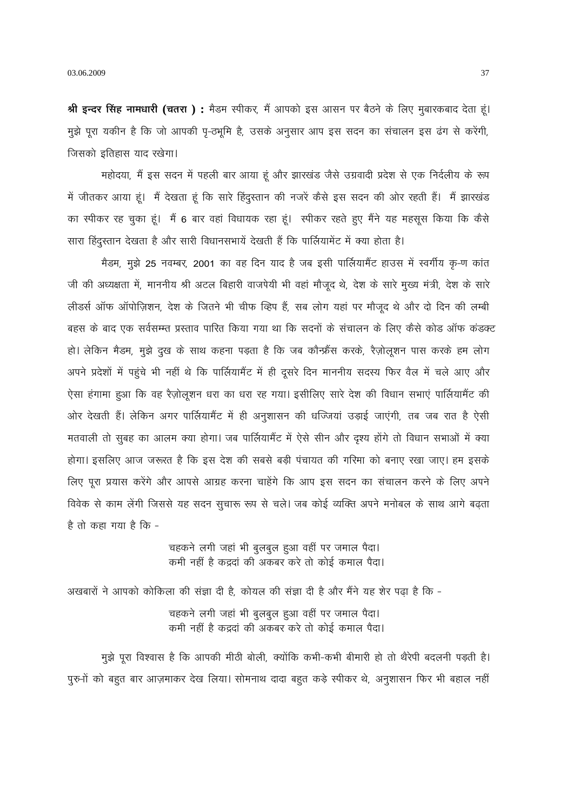03.06.2009

श्री इन्दर सिंह नामधारी (चतरा): मैडम स्पीकर, मैं आपको इस आसन पर बैठने के लिए मुबारकबाद देता हूं। मुझे पूरा यकीन है कि जो आपकी पृ-ठभूमि है, उसके अनुसार आप इस सदन का संचालन इस ढंग से करेंगी, जिसको इतिहास याद रखेगा।

महोदया, मैं इस सदन में पहली बार आया हूं और झारखंड जैसे उग्रवादी प्रदेश से एक निर्दलीय के रूप में जीतकर आया हूं। मैं देखता हूं कि सारे हिंदुस्तान की नजरें कैसे इस सदन की ओर रहती हैं। मैं झारखंड का स्पीकर रह चुका हूं। मैं 6 बार वहां विधायक रहा हूं। स्पीकर रहते हुए मैंने यह महसूस किया कि कैसे सारा हिंदुस्तान देखता है और सारी विधानसभायें देखती हैं कि पार्लियामेंट में क्या होता है।

मैडम, मुझे 25 नवम्बर, 2001 का वह दिन याद है जब इसी पार्लियामैंट हाउस में स्वर्गीय कृ-ण कांत जी की अध्यक्षता में, माननीय श्री अटल बिहारी वाजपेयी भी वहां मौजूद थे, देश के सारे मुख्य मंत्री, देश के सारे लीडर्स ऑफ ऑपोज़िशन, देश के जितने भी चीफ व्हिप हैं, सब लोग यहां पर मौजूद थे और दो दिन की लम्बी बहस के बाद एक सर्वसम्म्त प्रस्ताव पारित किया गया था कि सदनों के संचालन के लिए कैसे कोड़ ऑफ कंडक्ट हो। लेकिन मैडम, मुझे दुख के साथ कहना पड़ता है कि जब कौन्फ्रैंस करके, रैज़ोलूशन पास करके हम लोग अपने प्रदेशों में पहुंचे भी नहीं थे कि पार्लियामैंट में ही दूसरे दिन माननीय सदस्य फिर वैल में चले आए और ऐसा हंगामा हुआ कि वह रैज़ोलूशन धरा का धरा रह गया। इसीलिए सारे देश की विधान सभाएं पार्लियामैंट की ओर देखती हैं। लेकिन अगर पार्लियामैंट में ही अनुशासन की धज्जियां उड़ाई जाएंगी, तब जब रात है ऐसी मतवाली तो सुबह का आलम क्या होगा। जब पार्लियामैंट में ऐसे सीन और दृश्य होंगे तो विधान सभाओं में क्या होगा। इसलिए आज जरूरत है कि इस देश की सबसे बड़ी पंचायत की गरिमा को बनाए रखा जाए। हम इसके लिए पूरा प्रयास करेंगे और आपसे आग्रह करना चाहेंगे कि आप इस सदन का संचालन करने के लिए अपने विवेक से काम लेंगी जिससे यह सदन सूचारू रूप से चले। जब कोई व्यक्ति अपने मनोबल के साथ आगे बढ़ता है तो कहा गया है कि -

> चहकने लगी जहां भी बुलबुल हुआ वहीं पर जमाल पैदा। कमी नहीं है कद्रदां की अकबर करे तो कोई कमाल पैदा।

अखबारों ने आपको कोकिला की संज्ञा दी है, कोयल की संज्ञा दी है और मैंने यह शेर पढ़ा है कि -

चहकने लगी जहां भी बूलबूल हुआ वहीं पर जमाल पैदा। कमी नहीं है कद्रदां की अकबर करे तो कोई कमाल पैदा।

मुझे पूरा विश्वास है कि आपकी मीठी बोली, क्योंकि कभी-कभी बीमारी हो तो थैरेपी बदलनी पड़ती है। पुरु-ों को बहुत बार आज़माकर देख लिया। सोमनाथ दादा बहुत कड़े स्पीकर थे, अनुशासन फिर भी बहाल नहीं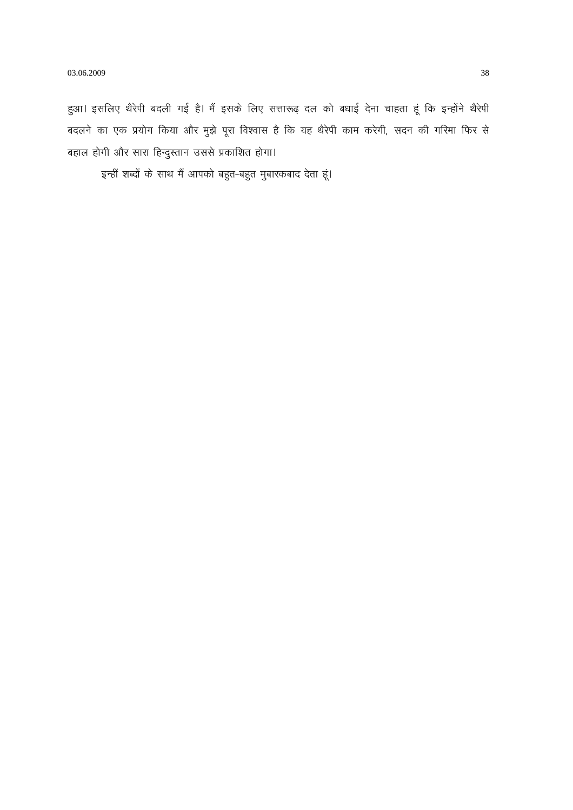हुआ। इसलिए थैरेपी बदली गई है। मैं इसके लिए सत्तारूढ़ दल को बधाई देना चाहता हूं कि इन्होंने थैरेपी बदलने का एक प्रयोग किया और मुझे पूरा विश्वास है कि यह थैरेपी काम करेगी, सदन की गरिमा फिर से बहाल होगी और सारा हिन्दुस्तान उससे प्रकाशित होगा।

इन्हीं शब्दों के साथ मैं आपको बहुत-बहुत मुबारकबाद देता हूं।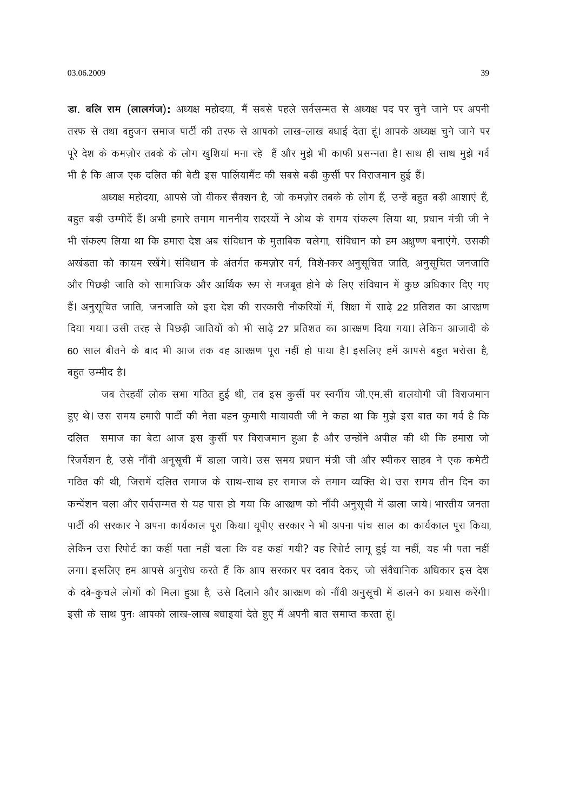डा. बलि राम (लालगंज): अध्यक्ष महोदया, मैं सबसे पहले सर्वसम्मत से अध्यक्ष पद पर चुने जाने पर अपनी तरफ से तथा बहुजन समाज पार्टी की तरफ से आपको लाख-लाख बधाई देता हूं। आपके अध्यक्ष चुने जाने पर पूरे देश के कमज़ोर तबके के लोग खुशियां मना रहे हैं और मुझे भी काफी प्रसन्नता है। साथ ही साथ मुझे गर्व भी है कि आज एक दलित की बेटी इस पार्लियामैंट की सबसे बड़ी कुर्सी पर विराजमान हुई हैं।

अध्यक्ष महोदया, आपसे जो वीकर सैक्शन है, जो कमज़ोर तबके के लोग हैं, उन्हें बहुत बड़ी आशाएं हैं, बहुत बड़ी उम्मीदें हैं। अभी हमारे तमाम माननीय सदस्यों ने ओथ के समय संकल्प लिया था, प्रधान मंत्री जी ने भी संकल्प लिया था कि हमारा देश अब संविधान के मुताबिक चलेगा, संविधान को हम अक्षुण्ण बनाएंगे. उसकी अखंडता को कायम रखेंगे। संविधान के अंतर्गत कमज़ोर वर्ग, विशे-ाकर अनुसूचित जाति, अनुसूचित जनजाति और पिछड़ी जाति को सामाजिक और आर्थिक रूप से मजबूत होने के लिए संविधान में कुछ अधिकार दिए गए हैं। अनुसूचित जाति, जनजाति को इस देश की सरकारी नौकरियों में, शिक्षा में साढ़े 22 प्रतिशत का आरक्षण दिया गया। उसी तरह से पिछड़ी जातियों को भी साढ़े 27 प्रतिशत का आरक्षण दिया गया। लेकिन आजादी के 60 साल बीतने के बाद भी आज तक वह आरक्षण पूरा नहीं हो पाया है। इसलिए हमें आपसे बहुत भरोसा है, बहुत उम्मीद है।

जब तेरहवीं लोक सभा गठित हुई थी, तब इस कुर्सी पर स्वर्गीय जी.एम.सी बालयोगी जी विराजमान हुए थे। उस समय हमारी पार्टी की नेता बहन कुमारी मायावती जी ने कहा था कि मुझे इस बात का गर्व है कि दलित समाज का बेटा आज इस कूर्सी पर विराजमान हुआ है और उन्होंने अपील की थी कि हमारा जो रिजर्वेशन है, उसे नौंवी अनूसूची में डाला जाये। उस समय प्रधान मंत्री जी और स्पीकर साहब ने एक कमेटी गठित की थी, जिसमें दलित समाज के साथ-साथ हर समाज के तमाम व्यक्ति थे। उस समय तीन दिन का कन्वेंशन चला और सर्वसम्मत से यह पास हो गया कि आरक्षण को नौंवी अनुसूची में डाला जाये। भारतीय जनता पार्टी की सरकार ने अपना कार्यकाल पूरा किया। यूपीए सरकार ने भी अपना पांच साल का कार्यकाल पूरा किया, लेकिन उस रिपोर्ट का कहीं पता नहीं चला कि वह कहां गयी? वह रिपोर्ट लागू हुई या नहीं, यह भी पता नहीं लगा। इसलिए हम आपसे अनुरोध करते हैं कि आप सरकार पर दबाव देकर, जो संवैधानिक अधिकार इस देश के दबे-कुचले लोगों को मिला हुआ है, उसे दिलाने और आरक्षण को नौंवी अनुसूची में डालने का प्रयास करेंगी। इसी के साथ पुनः आपको लाख-लाख बधाइयां देते हुए मैं अपनी बात समाप्त करता हूं।

39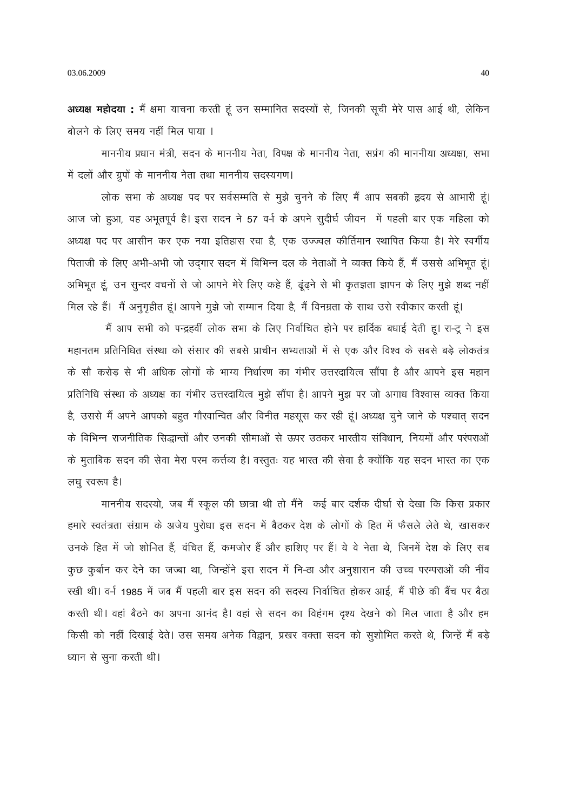अध्यक्ष महोदया : मैं क्षमा याचना करती हूं उन सम्मानित सदस्यों से, जिनकी सूची मेरे पास आई थी, लेकिन बोलने के लिए समय नहीं मिल पाया ।

माननीय प्रधान मंत्री, सदन के माननीय नेता, विपक्ष के माननीय नेता, सप्रंग की माननीया अध्यक्षा, सभा में दलों और ग्रूपों के माननीय नेता तथा माननीय सदस्यगण।

लोक सभा के अध्यक्ष पद पर सर्वसम्मति से मुझे चुनने के लिए मैं आप सबकी हृदय से आभारी हूं। आज जो हुआ, वह अभूतपूर्व है। इस सदन ने 57 वर्-ा के अपने सुदीर्घ जीवन में पहली बार एक महिला को अध्यक्ष पद पर आसीन कर एक नया इतिहास रचा है, एक उज्ज्वल कीर्तिमान स्थापित किया है। मेरे स्वर्गीय पिताजी के लिए अभी-अभी जो उदगार सदन में विभिन्न दल के नेताओं ने व्यक्त किये हैं, मैं उससे अभिभूत हूं। अभिभूत हूं, उन सुन्दर वचनों से जो आपने मेरे लिए कहे हैं, ढूंढ़ने से भी कृतज्ञता ज्ञापन के लिए मुझे शब्द नहीं

मिल रहे हैं। मैं अनुगृहीत हूं। आपने मुझे जो सम्मान दिया है, मैं विनम्रता के साथ उसे स्वीकार करती हूं। मैं आप सभी को पन्द्रहवीं लोक सभा के लिए निर्वाचित होने पर हार्दिक बधाई देती हू। रा-टू ने इस महानतम प्रतिनिधित संस्था को संसार की सबसे प्राचीन सभ्यताओं में से एक और विश्व के सबसे बड़े लोकतंत्र के सौ करोड़ से भी अधिक लोगों के भाग्य निर्धारण का गंभीर उत्तरदायित्व सौंपा है और आपने इस महान प्रतिनिधि संस्था के अध्यक्ष का गंभीर उत्तरदायित्व मूझे सौंपा है। आपने मूझ पर जो अगाध विश्वास व्यक्त किया है, उससे मैं अपने आपको बहुत गौरवान्वित और विनीत महसूस कर रही हूं। अध्यक्ष चूने जाने के पश्चात सदन के विभिन्न राजनीतिक सिद्धान्तों और उनकी सीमाओं से ऊपर उठकर भारतीय संविधान, नियमों और परंपराओं के मुताबिक सदन की सेवा मेरा परम कर्त्तव्य है। वस्तुतः यह भारत की सेवा है क्योंकि यह सदन भारत का एक लघु स्वरूप है।

माननीय सदस्यो, जब मैं स्कूल की छात्रा थी तो मैंने कई बार दर्शक दीर्घा से देखा कि किस प्रकार हमारे स्वतंत्रता संग्राम के अजेय पूरोधा इस सदन में बैठकर देश के लोगों के हित में फैसले लेते थे, खासकर उनके हित में जो शोनित हैं, वंचित हैं, कमजोर हैं और हाशिए पर हैं। ये वे नेता थे, जिनमें देश के लिए सब कुछ कुर्बान कर देने का जज्बा था, जिन्होंने इस सदन में नि-ठा और अनुशासन की उच्च परम्पराओं की नींव रखी थी। वर्न 1985 में जब मैं पहली बार इस सदन की सदस्य निर्वाचित होकर आई, मैं पीछे की बैंच पर बैठा करती थी। वहां बैठने का अपना आनंद है। वहां से सदन का विहंगम दृश्य देखने को मिल जाता है और हम किसी को नहीं दिखाई देते। उस समय अनेक विद्वान, प्रखर वक्ता सदन को सुशोभित करते थे, जिन्हें मैं बड़े ध्यान से सुना करती थी।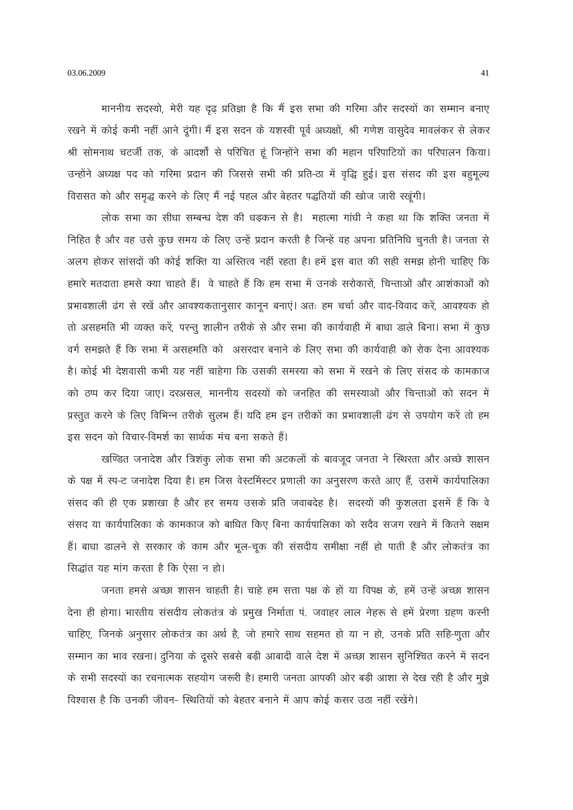माननीय सदस्यो, मेरी यह दृढ़ प्रतिज्ञा है कि मैं इस सभा की गरिमा और सदस्यों का सम्मान बनाए रखने में कोई कमी नहीं आने दूंगी। मैं इस सदन के यशस्वी पूर्व अध्यक्षों, श्री गणेश वासुदेव मावलंकर से लेकर श्री सोमनाथ चटर्जी तक, के आदर्शों से परिचित हूं जिन्होंने सभा की महान परिपाटियों का परिपालन किया। उन्होंने अध्यक्ष पद को गरिमा प्रदान की जिससे सभी की प्रति-ठा में वृद्धि हुई। इस संसद की इस बहुमूल्य विरासत को और समृद्ध करने के लिए मैं नई पहल और बेहतर पद्धतियों की खोज जारी रखूंगी।

लोक सभा का सीधा सम्बन्ध देश की धड़कन से है। महात्मा गांधी ने कहा था कि शक्ति जनता में निहित है और वह उसे कुछ समय के लिए उन्हें प्रदान करती है जिन्हें वह अपना प्रतिनिधि चूनती है। जनता से अलग होकर सांसदों की कोई शक्ति या अस्तित्व नहीं रहता है। हमें इस बात की सही समझ होनी चाहिए कि हमारे मतदाता हमसे क्या चाहते हैं। वे चाहते हैं कि हम सभा में उनके सरोकारों, चिन्ताओं और आशंकाओं को प्रभावशाली ढंग से रखें और आवश्यकतानुसार कानून बनाएं। अतः हम चर्चा और वाद-विवाद करें, आवश्यक हो तो असहमति भी व्यक्त करें, परन्तु शालीन तरीके से और सभा की कार्यवाही में बाधा डाले बिना। सभा में कुछ वर्ग समझते हैं कि सभा में असहमति को असरदार बनाने के लिए सभा की कार्यवाही को रोक देना आवश्यक है। कोई भी देशवासी कभी यह नहीं चाहेगा कि उसकी समस्या को सभा में रखने के लिए संसद के कामकाज को ठप्प कर दिया जाए। दरअसल, माननीय सदस्यों को जनहित की समस्याओं और चिन्ताओं को सदन में प्रस्तुत करने के लिए विभिन्न तरीके सुलभ हैं। यदि हम इन तरीकों का प्रभावशाली ढंग से उपयोग करें तो हम इस सदन को विचार-विमर्श का सार्थक मंच बना सकते हैं।

खण्डित जनादेश और त्रिशंकु लोक सभा की अटकलों के बावजूद जनता ने स्थिरता और अच्छे शासन के पक्ष में स्प-ट जनादेश दिया है। हम जिस वेस्टमिंस्टर प्रणाली का अनुसरण करते आए हैं, उसमें कार्यपालिका संसद की ही एक प्रशाखा है और हर समय उसके प्रति जवाबदेह है। सदस्यों की कृशलता इसमें हैं कि वे संसद या कार्यपालिका के कामकाज को बाधित किए बिना कार्यपालिका को सदैव सजग रखने में कितने सक्षम हैं। बाधा डालने से सरकार के काम और भूल-चूक की संसदीय समीक्षा नहीं हो पाती है और लोकतंत्र का सिद्धांत यह मांग करता है कि ऐसा न हो।

जनता हमसे अच्छा शासन चाहती है। चाहे हम सत्ता पक्ष के हों या विपक्ष के, हमें उन्हें अच्छा शासन देना ही होगा। भारतीय संसदीय लोकतंत्र के प्रमुख निर्माता पं. जवाहर लाल नेहरू से हमें प्रेरणा ग्रहण करनी चाहिए, जिनके अनुसार लोकतंत्र का अर्थ है, जो हमारे साथ सहमत हो या न हो, उनके प्रति सहि-णुता और सम्मान का भाव रखना। दुनिया के दूसरे सबसे बड़ी आबादी वाले देश में अच्छा शासन सुनिश्चित करने में सदन के सभी सदस्यों का रचनात्मक सहयोग जरूरी है। हमारी जनता आपकी ओर बड़ी आशा से देख रही है और मूझे विश्वास है कि उनकी जीवन- स्थितियों को बेहतर बनाने में आप कोई कसर उठा नहीं रखेंगे।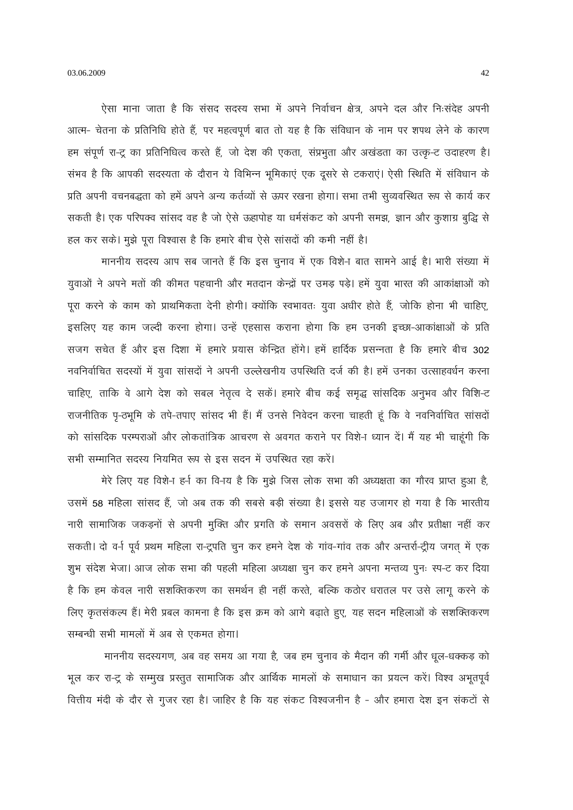03.06.2009

ऐसा माना जाता है कि संसद सदस्य सभा में अपने निर्वाचन क्षेत्र, अपने दल और निःसंदेह अपनी आत्म- चेतना के प्रतिनिधि होते हैं, पर महत्वपूर्ण बात तो यह है कि संविधान के नाम पर शपथ लेने के कारण हम संपूर्ण रा-टू का प्रतिनिधित्व करते हैं, जो देश की एकता, संप्रभूता और अखंडता का उत्कृ-ट उदाहरण है। संभव है कि आपकी सदस्यता के दौरान ये विभिन्न भुमिकाएं एक दुसरे से टकराएं। ऐसी स्थिति में संविधान के प्रति अपनी वचनबद्धता को हमें अपने अन्य कर्तव्यों से ऊपर रखना होगा। सभा तभी सूव्यवस्थित रूप से कार्य कर सकती है। एक परिपक्व सांसद वह है जो ऐसे ऊहापोह या धर्मसंकट को अपनी समझ, ज्ञान और कुशाग्र बुद्धि से हल कर सके। मूझे पूरा विश्वास है कि हमारे बीच ऐसे सांसदों की कमी नहीं है।

माननीय सदस्य आप सब जानते हैं कि इस चुनाव में एक विशे-ा बात सामने आई है। भारी संख्या में युवाओं ने अपने मतों की कीमत पहचानी और मतदान केन्द्रों पर उमड़ पड़े। हमें युवा भारत की आकांक्षाओं को पूरा करने के काम को प्राथमिकता देनी होगी। क्योंकि स्वभावतः युवा अधीर होते हैं, जोकि होना भी चाहिए, इसलिए यह काम जल्दी करना होगा। उन्हें एहसास कराना होगा कि हम उनकी इच्छा-आकांक्षाओं के प्रति सजग सचेत हैं और इस दिशा में हमारे प्रयास केन्द्रित होंगे। हमें हार्दिक प्रसन्नता है कि हमारे बीच 302 नवनिर्वाचित सदस्यों में युवा सांसदों ने अपनी उल्लेखनीय उपस्थिति दर्ज की है। हमें उनका उत्साहवर्धन करना चाहिए, ताकि वे आगे देश को सबल नेतृत्व दे सकें। हमारे बीच कई समृद्ध सांसदिक अनुभव और विशि-ट राजनीतिक पृ-ठभूमि के तपे-तपाए सांसद भी हैं। मैं उनसे निवेदन करना चाहती हूं कि वे नवनिर्वाचित सांसदों को सांसदिक परम्पराओं और लोकतांत्रिक आचरण से अवगत कराने पर विशे-ा ध्यान दें। मैं यह भी चाहूंगी कि सभी सम्मानित सदस्य नियमित रूप से इस सदन में उपस्थित रहा करें।

मेरे लिए यह विशेन हर्न का विनय है कि मुझे जिस लोक सभा की अध्यक्षता का गौरव प्राप्त हुआ है, उसमें 58 महिला सांसद हैं, जो अब तक की सबसे बड़ी संख्या है। इससे यह उजागर हो गया है कि भारतीय नारी सामाजिक जकड़नों से अपनी मुक्ति और प्रगति के समान अवसरों के लिए अब और प्रतीक्षा नहीं कर सकती। दो वर्न पूर्व प्रथम महिला रा-ट्रपति चुन कर हमने देश के गांव-गांव तक और अन्तर्रा-ट्रीय जगत में एक शूभ संदेश भेजा। आज लोक सभा की पहली महिला अध्यक्षा चुन कर हमने अपना मन्तव्य पुनः स्प-ट कर दिया है कि हम केवल नारी सशक्तिकरण का समर्थन ही नहीं करते, बल्कि कठोर धरातल पर उसे लागू करने के लिए कृतसंकल्प हैं। मेरी प्रबल कामना है कि इस क्रम को आगे बढ़ाते हुए, यह सदन महिलाओं के सशक्तिकरण सम्बन्धी सभी मामलों में अब से एकमत होगा।

माननीय सदस्यगण, अब वह समय आ गया है, जब हम चुनाव के मैदान की गर्मी और धूल-धक्कड़ को भूल कर रा-टू के सम्मूख प्रस्तुत सामाजिक और आर्थिक मामलों के समाधान का प्रयत्न करें। विश्व अभूतपूर्व वित्तीय मंदी के दौर से गुजर रहा है। जाहिर है कि यह संकट विश्वजनीन है - और हमारा देश इन संकटों से

42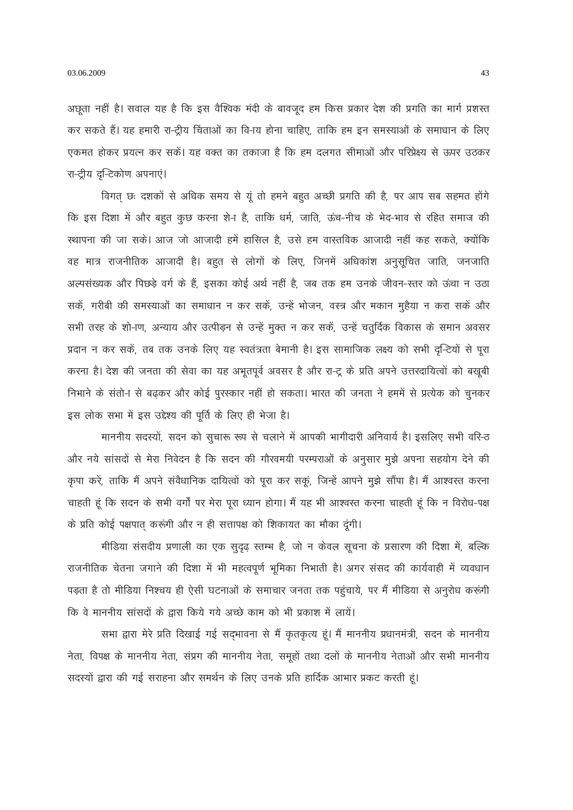अछूता नहीं है। सवाल यह है कि इस वैश्विक मंदी के बावजूद हम किस प्रकार देश की प्रगति का मार्ग प्रशस्त कर सकते हैं। यह हमारी रा-ट्रीय चिंताओं का वि-ाय होना चाहिए, ताकि हम इन समस्याओं के समाधान के लिए एकमत होकर प्रयत्न कर सकें। यह वक्त का तकाजा है कि हम दलगत सीमाओं और परिप्रेक्ष्य से ऊपर उठकर रा-ट्रीय दुन्टिकोण अपनाएं।

विगत छः दशकों से अधिक समय से यूं तो हमने बहुत अच्छी प्रगति की है, पर आप सब सहमत होंगे कि इस दिशा में और बहुत कुछ करना शेन है, ताकि धर्म, जाति, ऊंच-नीच के भेद-भाव से रहित समाज की स्थापना की जा सके। आज जो आजादी हमें हासिल है, उसे हम वास्तविक आजादी नहीं कह सकते, क्योंकि वह मात्र राजनीतिक आजादी है। बहुत से लोगों के लिए, जिनमें अधिकांश अनुसूचित जाति, जनजाति अल्पसंख्यक और पिछड़े वर्ग के हैं, इसका कोई अर्थ नहीं है, जब तक हम उनके जीवन-स्तर को ऊंचा न उठा सकें, गरीबी की समस्याओं का समाधान न कर सकें, उन्हें भोजन, वस्त्र और मकान मुहैया न करा सकें और सभी तरह के शो-ाण, अन्याय और उत्पीड़न से उन्हें मुक्त न कर सकें, उन्हें चतुर्दिक विकास के समान अवसर प्रदान न कर सकें, तब तक उनके लिए यह स्वतंत्रता बेमानी है। इस सामाजिक लक्ष्य को सभी दृ-िटयों से पूरा करना है। देश की जनता की सेवा का यह अभूतपूर्व अवसर है और रा-टू के प्रति अपने उत्तरदायित्वों को बखूबी निभाने के संतो-ा से बढ़कर और कोई पुरस्कार नहीं हो सकता। भारत की जनता ने हममें से प्रत्येक को चुनकर इस लोक सभा में इस उद्देश्य की पूर्ति के लिए ही भेजा है।

माननीय सदस्यों, सदन को सचारू रूप से चलाने में आपकी भागीदारी अनिवार्य है। इसलिए सभी वरि-ठ और नये सांसदों से मेरा निवेदन है कि सदन की गौरवमयी परम्पराओं के अनुसार मुझे अपना सहयोग देने की कृपा करें, ताकि मैं अपने संवैधानिक दायित्वों को पूरा कर सकूं, जिन्हें आपने मुझे सौंपा है। मैं आश्वरत्त करना चाहती हूं कि सदन के सभी वर्गों पर मेरा पूरा ध्यान होगा। मैं यह भी आश्वस्त करना चाहती हूं कि न विरोध-पक्ष के प्रति कोई पक्षपात करूंगी और न ही सत्तापक्ष को शिकायत का मौका दूंगी।

मीडिया संसदीय प्रणाली का एक सुदृढ़ स्तम्भ है, जो न केवल सूचना के प्रसारण की दिशा में, बल्कि राजनीतिक चेतना जगाने की दिशा में भी महत्वपूर्ण भूमिका निभाती है। अगर संसद की कार्यवाही में व्यवधान पड़ता है तो मीडिया निश्चय ही ऐसी घटनाओं के समाचार जनता तक पहुंचाये, पर मैं मीडिया से अनुरोध करूंगी कि वे माननीय सांसदों के द्वारा किये गये अच्छे काम को भी प्रकाश में लायें।

सभा द्वारा मेरे प्रति दिखाई गई सद्भावना से मैं कृतकृत्य हूं। मैं माननीय प्रधानमंत्री, सदन के माननीय नेता, विपक्ष के माननीय नेता, संप्रग की माननीय नेता, समूहों तथा दलों के माननीय नेताओं और सभी माननीय सदस्यों द्वारा की गई सराहना और समर्थन के लिए उनके प्रति हार्दिक आभार प्रकट करती हूं।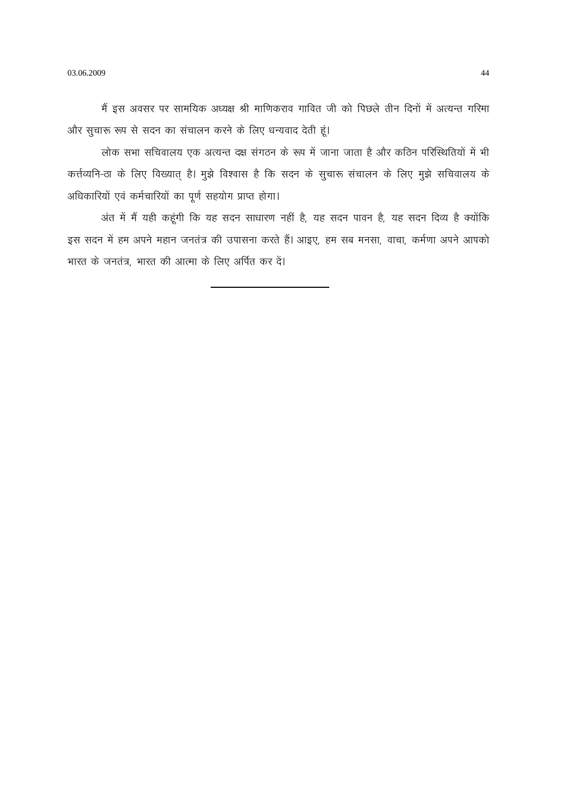मैं इस अवसर पर सामयिक अध्यक्ष श्री माणिकराव गावित जी को पिछले तीन दिनों में अत्यन्त गरिमा और सुचारू रूप से सदन का संचालन करने के लिए धन्यवाद देती हूं।

लोक सभा सचिवालय एक अत्यन्त दक्ष संगठन के रूप में जाना जाता है और कठिन परिस्थितियों में भी कर्त्तव्यनि-ठा के लिए विख्यात है। मुझे विश्वास है कि सदन के सूचारू संचालन के लिए मुझे सचिवालय के अधिकारियों एवं कर्मचारियों का पूर्ण सहयोग प्राप्त होगा।

अंत में मैं यही कहूंगी कि यह सदन साधारण नहीं है, यह सदन पावन है, यह सदन दिव्य है क्योंकि इस सदन में हम अपने महान जनतंत्र की उपासना करते हैं। आइए, हम सब मनसा, वाचा, कर्मणा अपने आपको भारत के जनतंत्र, भारत की आत्मा के लिए अर्पित कर दें।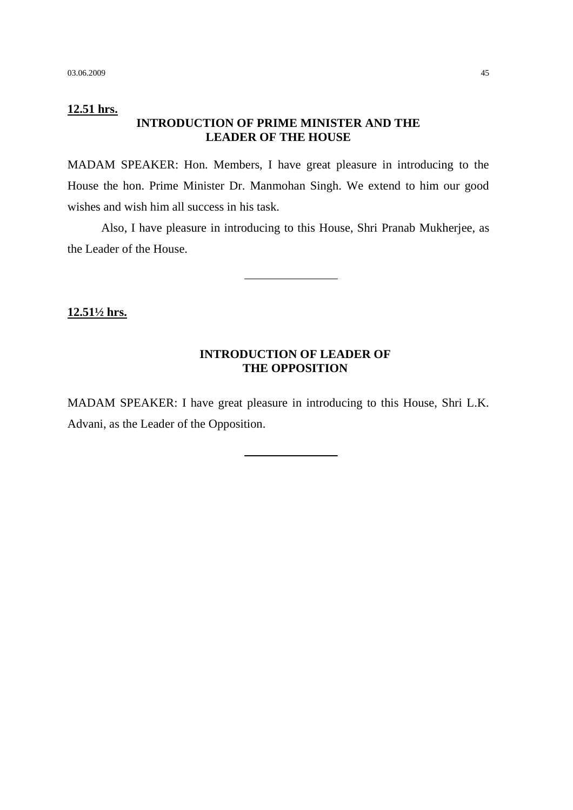### **12.51 hrs. INTRODUCTION OF PRIME MINISTER AND THE LEADER OF THE HOUSE**

MADAM SPEAKER: Hon. Members, I have great pleasure in introducing to the House the hon. Prime Minister Dr. Manmohan Singh. We extend to him our good wishes and wish him all success in his task.

Also, I have pleasure in introducing to this House, Shri Pranab Mukherjee, as the Leader of the House.

**12.51½ hrs.**

## **INTRODUCTION OF LEADER OF THE OPPOSITION**

MADAM SPEAKER: I have great pleasure in introducing to this House, Shri L.K. Advani, as the Leader of the Opposition.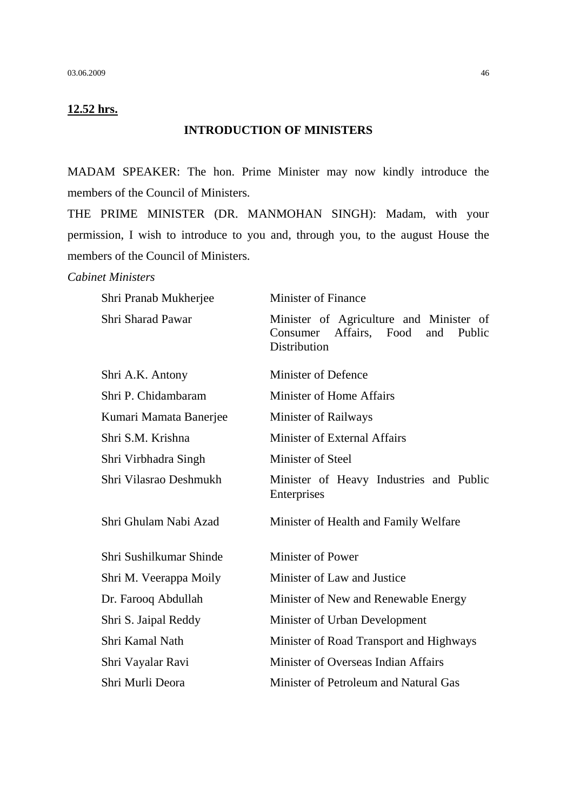## **12.52 hrs.**

#### **INTRODUCTION OF MINISTERS**

MADAM SPEAKER: The hon. Prime Minister may now kindly introduce the members of the Council of Ministers.

THE PRIME MINISTER (DR. MANMOHAN SINGH): Madam, with your permission, I wish to introduce to you and, through you, to the august House the members of the Council of Ministers.

#### *Cabinet Ministers*

| Shri Pranab Mukherjee   | <b>Minister of Finance</b>                                                                         |  |  |
|-------------------------|----------------------------------------------------------------------------------------------------|--|--|
| Shri Sharad Pawar       | Minister of Agriculture and Minister of<br>Consumer Affairs, Food<br>and<br>Public<br>Distribution |  |  |
| Shri A.K. Antony        | <b>Minister of Defence</b>                                                                         |  |  |
| Shri P. Chidambaram     | Minister of Home Affairs                                                                           |  |  |
| Kumari Mamata Banerjee  | Minister of Railways                                                                               |  |  |
| Shri S.M. Krishna       | Minister of External Affairs                                                                       |  |  |
| Shri Virbhadra Singh    | Minister of Steel                                                                                  |  |  |
| Shri Vilasrao Deshmukh  | Minister of Heavy Industries and Public<br>Enterprises                                             |  |  |
| Shri Ghulam Nabi Azad   | Minister of Health and Family Welfare                                                              |  |  |
| Shri Sushilkumar Shinde | Minister of Power                                                                                  |  |  |
| Shri M. Veerappa Moily  | Minister of Law and Justice                                                                        |  |  |
| Dr. Farooq Abdullah     | Minister of New and Renewable Energy                                                               |  |  |
| Shri S. Jaipal Reddy    | Minister of Urban Development                                                                      |  |  |
| Shri Kamal Nath         | Minister of Road Transport and Highways                                                            |  |  |
| Shri Vayalar Ravi       | Minister of Overseas Indian Affairs                                                                |  |  |
| Shri Murli Deora        | Minister of Petroleum and Natural Gas                                                              |  |  |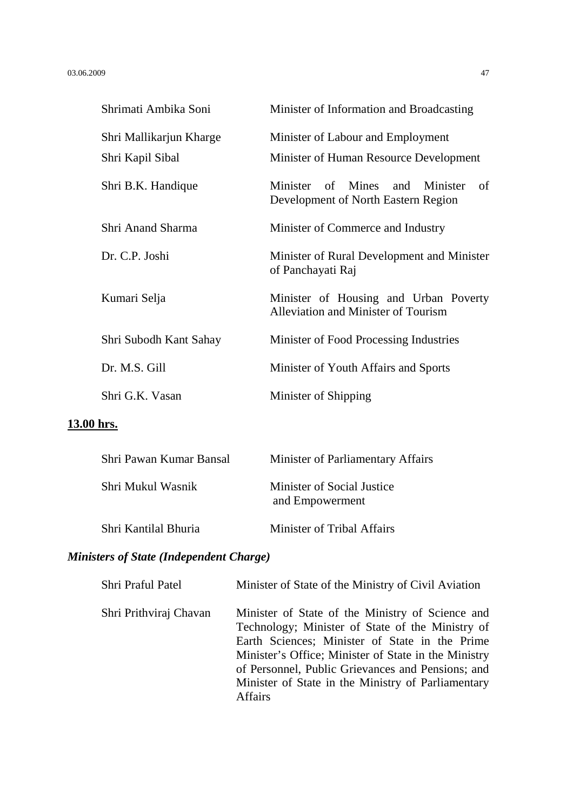| Shrimati Ambika Soni    | Minister of Information and Broadcasting                                     |
|-------------------------|------------------------------------------------------------------------------|
| Shri Mallikarjun Kharge | Minister of Labour and Employment                                            |
| Shri Kapil Sibal        | Minister of Human Resource Development                                       |
| Shri B.K. Handique      | Minister of Mines and Minister<br>-of<br>Development of North Eastern Region |
| Shri Anand Sharma       | Minister of Commerce and Industry                                            |
| Dr. C.P. Joshi          | Minister of Rural Development and Minister<br>of Panchayati Raj              |
| Kumari Selja            | Minister of Housing and Urban Poverty<br>Alleviation and Minister of Tourism |
| Shri Subodh Kant Sahay  | Minister of Food Processing Industries                                       |
| Dr. M.S. Gill           | Minister of Youth Affairs and Sports                                         |
| Shri G.K. Vasan         | Minister of Shipping                                                         |

## **13.00 hrs.**

| Shri Pawan Kumar Bansal | Minister of Parliamentary Affairs             |
|-------------------------|-----------------------------------------------|
| Shri Mukul Wasnik       | Minister of Social Justice<br>and Empowerment |
| Shri Kantilal Bhuria    | Minister of Tribal Affairs                    |

# *Ministers of State (Independent Charge)*

| Shri Praful Patel      | Minister of State of the Ministry of Civil Aviation                                                                                                                                                                                                                                                                                         |
|------------------------|---------------------------------------------------------------------------------------------------------------------------------------------------------------------------------------------------------------------------------------------------------------------------------------------------------------------------------------------|
| Shri Prithviraj Chavan | Minister of State of the Ministry of Science and<br>Technology; Minister of State of the Ministry of<br>Earth Sciences; Minister of State in the Prime<br>Minister's Office; Minister of State in the Ministry<br>of Personnel, Public Grievances and Pensions; and<br>Minister of State in the Ministry of Parliamentary<br><b>Affairs</b> |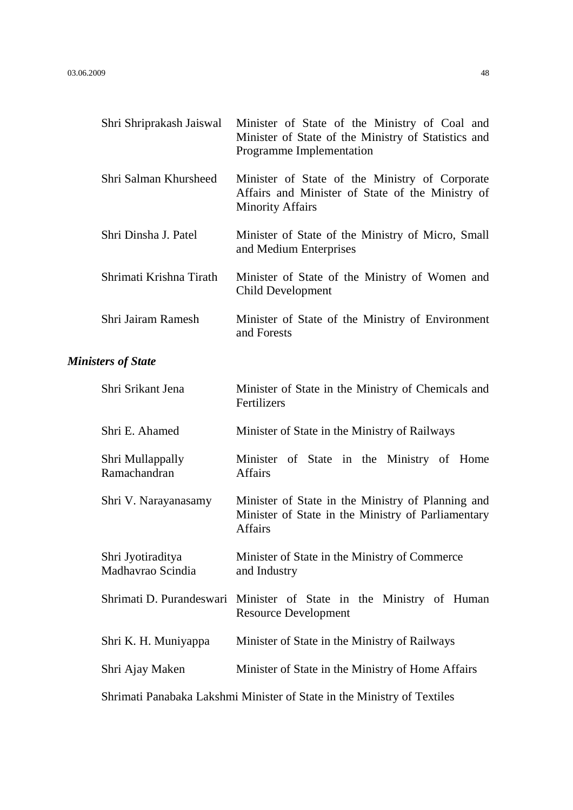|                           | Shri Shriprakash Jaiswal               | Minister of State of the Ministry of Coal and<br>Minister of State of the Ministry of Statistics and<br>Programme Implementation |  |
|---------------------------|----------------------------------------|----------------------------------------------------------------------------------------------------------------------------------|--|
|                           | Shri Salman Khursheed                  | Minister of State of the Ministry of Corporate<br>Affairs and Minister of State of the Ministry of<br><b>Minority Affairs</b>    |  |
|                           | Shri Dinsha J. Patel                   | Minister of State of the Ministry of Micro, Small<br>and Medium Enterprises                                                      |  |
|                           | Shrimati Krishna Tirath                | Minister of State of the Ministry of Women and<br><b>Child Development</b>                                                       |  |
|                           | Shri Jairam Ramesh                     | Minister of State of the Ministry of Environment<br>and Forests                                                                  |  |
| <b>Ministers of State</b> |                                        |                                                                                                                                  |  |
|                           | Shri Srikant Jena                      | Minister of State in the Ministry of Chemicals and<br>Fertilizers                                                                |  |
|                           | Shri E. Ahamed                         | Minister of State in the Ministry of Railways                                                                                    |  |
|                           | Shri Mullappally<br>Ramachandran       | Minister of State in the Ministry of Home<br><b>Affairs</b>                                                                      |  |
|                           | Shri V. Narayanasamy                   | Minister of State in the Ministry of Planning and<br>Minister of State in the Ministry of Parliamentary<br><b>Affairs</b>        |  |
|                           | Shri Jyotiraditya<br>Madhavrao Scindia | Minister of State in the Ministry of Commerce<br>and Industry                                                                    |  |
|                           | Shrimati D. Purandeswari               | Minister of State in the Ministry of Human<br><b>Resource Development</b>                                                        |  |
|                           | Shri K. H. Muniyappa                   | Minister of State in the Ministry of Railways                                                                                    |  |
|                           | Shri Ajay Maken                        | Minister of State in the Ministry of Home Affairs                                                                                |  |
|                           |                                        | Shrimati Panabaka Lakshmi Minister of State in the Ministry of Textiles                                                          |  |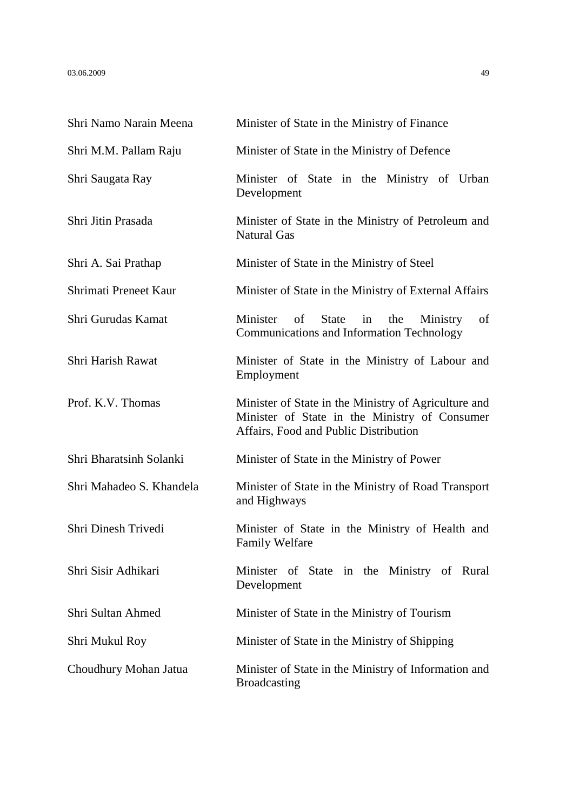| Shri Namo Narain Meena   | Minister of State in the Ministry of Finance                                                                                                   |
|--------------------------|------------------------------------------------------------------------------------------------------------------------------------------------|
| Shri M.M. Pallam Raju    | Minister of State in the Ministry of Defence                                                                                                   |
| Shri Saugata Ray         | Minister of State in the Ministry of Urban<br>Development                                                                                      |
| Shri Jitin Prasada       | Minister of State in the Ministry of Petroleum and<br><b>Natural Gas</b>                                                                       |
| Shri A. Sai Prathap      | Minister of State in the Ministry of Steel                                                                                                     |
| Shrimati Preneet Kaur    | Minister of State in the Ministry of External Affairs                                                                                          |
| Shri Gurudas Kamat       | Minister of<br><b>State</b><br>the<br>Ministry<br>of<br>in<br>Communications and Information Technology                                        |
| Shri Harish Rawat        | Minister of State in the Ministry of Labour and<br>Employment                                                                                  |
| Prof. K.V. Thomas        | Minister of State in the Ministry of Agriculture and<br>Minister of State in the Ministry of Consumer<br>Affairs, Food and Public Distribution |
| Shri Bharatsinh Solanki  | Minister of State in the Ministry of Power                                                                                                     |
| Shri Mahadeo S. Khandela | Minister of State in the Ministry of Road Transport<br>and Highways                                                                            |
| Shri Dinesh Trivedi      | Minister of State in the Ministry of Health and<br><b>Family Welfare</b>                                                                       |
| Shri Sisir Adhikari      | Minister of State in the Ministry of Rural<br>Development                                                                                      |
| Shri Sultan Ahmed        | Minister of State in the Ministry of Tourism                                                                                                   |
| Shri Mukul Roy           | Minister of State in the Ministry of Shipping                                                                                                  |
| Choudhury Mohan Jatua    | Minister of State in the Ministry of Information and<br><b>Broadcasting</b>                                                                    |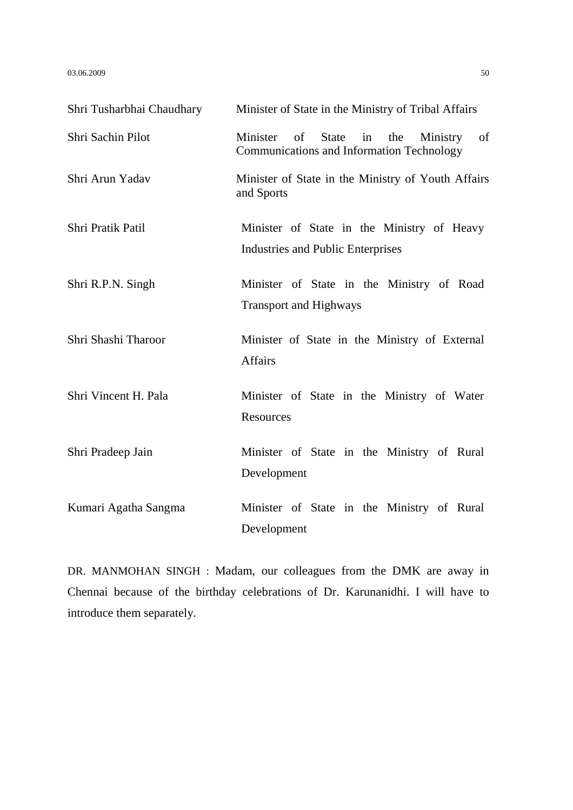$03.06.2009$  50

| Shri Tusharbhai Chaudhary | Minister of State in the Ministry of Tribal Affairs                                                               |
|---------------------------|-------------------------------------------------------------------------------------------------------------------|
| Shri Sachin Pilot         | Minister<br><b>State</b><br>the<br>Ministry<br>of<br>of<br>in<br><b>Communications and Information Technology</b> |
| Shri Arun Yadav           | Minister of State in the Ministry of Youth Affairs<br>and Sports                                                  |
| Shri Pratik Patil         | Minister of State in the Ministry of Heavy<br><b>Industries and Public Enterprises</b>                            |
| Shri R.P.N. Singh         | Minister of State in the Ministry of Road<br><b>Transport and Highways</b>                                        |
| Shri Shashi Tharoor       | Minister of State in the Ministry of External<br><b>Affairs</b>                                                   |
| Shri Vincent H. Pala      | Minister of State in the Ministry of Water<br>Resources                                                           |
| Shri Pradeep Jain         | Minister of State in the Ministry of Rural<br>Development                                                         |
| Kumari Agatha Sangma      | Minister of State in the Ministry of Rural<br>Development                                                         |

DR. MANMOHAN SINGH : Madam, our colleagues from the DMK are away in Chennai because of the birthday celebrations of Dr. Karunanidhi. I will have to introduce them separately.